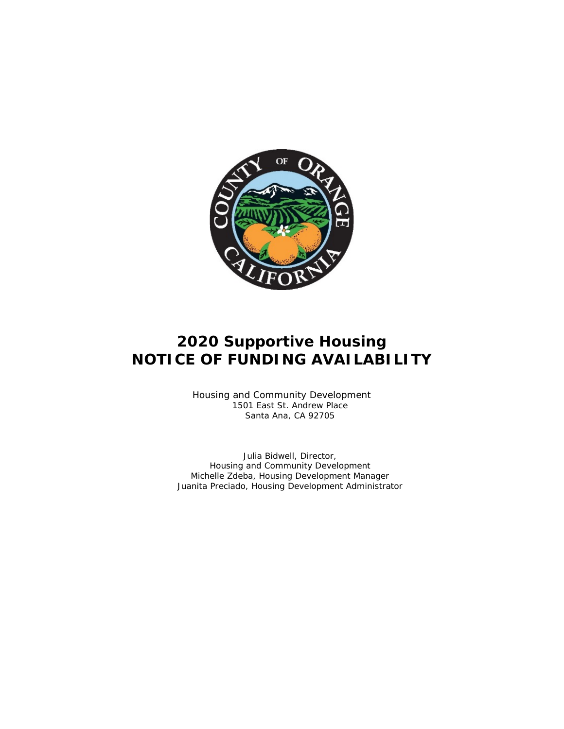

# **2020 Supportive Housing NOTICE OF FUNDING AVAILABILITY**

Housing and Community Development 1501 East St. Andrew Place Santa Ana, CA 92705

Julia Bidwell, Director, Housing and Community Development Michelle Zdeba, Housing Development Manager Juanita Preciado, Housing Development Administrator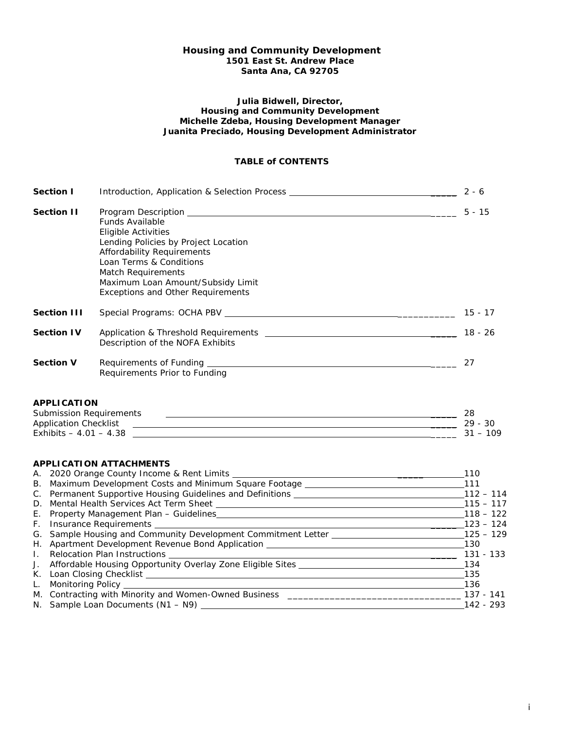## **Housing and Community Development 1501 East St. Andrew Place Santa Ana, CA 92705**

#### **Julia Bidwell, Director, Housing and Community Development Michelle Zdeba, Housing Development Manager Juanita Preciado, Housing Development Administrator**

# **TABLE of CONTENTS**

| <b>Section I</b>   | Introduction, Application & Selection Process __________________________________                                                                                                                                                                      | $2 - 6$   |
|--------------------|-------------------------------------------------------------------------------------------------------------------------------------------------------------------------------------------------------------------------------------------------------|-----------|
| <b>Section II</b>  | <b>Funds Available</b><br>Eligible Activities<br>Lending Policies by Project Location<br>Affordability Requirements<br>Loan Terms & Conditions<br>Match Requirements<br>Maximum Loan Amount/Subsidy Limit<br><b>Exceptions and Other Requirements</b> | $5 - 15$  |
| <b>Section III</b> | Special Programs: OCHA PBV _________                                                                                                                                                                                                                  | $15 - 17$ |
| <b>Section IV</b>  | Application & Threshold Requirements Application & Threshold Requirements<br>Description of the NOFA Exhibits                                                                                                                                         | $18 - 26$ |
| <b>Section V</b>   | Requirements Prior to Funding                                                                                                                                                                                                                         | 27        |

# **APPLICATION**

| <b>Submission Requirements</b> |      |
|--------------------------------|------|
| Application Checklist          | 30   |
| Exhibits $-4.01 - 4.38$        | .109 |

# **APPLICATION ATTACHMENTS**

|              | A. 2020 Orange County Income & Rent Limits _______                                                                                                                                                                                  | 110         |
|--------------|-------------------------------------------------------------------------------------------------------------------------------------------------------------------------------------------------------------------------------------|-------------|
|              | B. Maximum Development Costs and Minimum Square Footage _____                                                                                                                                                                       | 111         |
|              | C. Permanent Supportive Housing Guidelines and Definitions _____                                                                                                                                                                    | $112 - 114$ |
|              | D. Mental Health Services Act Term Sheet                                                                                                                                                                                            | $115 - 117$ |
|              | E. Property Management Plan - Guidelines                                                                                                                                                                                            | $118 - 122$ |
|              | F. Insurance Requirements <b>example 2000</b> and 2000 and 2000 and 2000 and 2000 and 2000 and 2000 and 2000 and 2000 and 2000 and 2000 and 2000 and 2000 and 2000 and 2000 and 2000 and 2000 and 2000 and 2000 and 2000 and 2000 a | $123 - 124$ |
|              | G. Sample Housing and Community Development Commitment Letter ______                                                                                                                                                                | $125 - 129$ |
|              | H. Apartment Development Revenue Bond Application _________                                                                                                                                                                         | 130         |
| $\mathbf{L}$ |                                                                                                                                                                                                                                     | 131 - 133   |
|              | J. Affordable Housing Opportunity Overlay Zone Eligible Sites _______                                                                                                                                                               | 134         |
| К.           | Loan Closing Checklist                                                                                                                                                                                                              | 135         |
| L.           | Monitoring Policy ___________                                                                                                                                                                                                       | 136         |
|              | M. Contracting with Minority and Women-Owned Business                                                                                                                                                                               | 137 - 141   |
|              |                                                                                                                                                                                                                                     | 142 - 293   |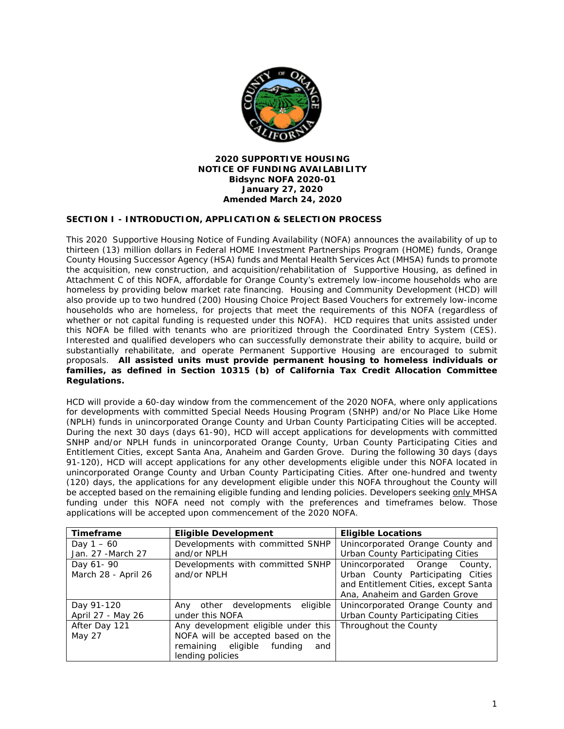

## **2020 SUPPORTIVE HOUSING NOTICE OF FUNDING AVAILABILITY Bidsync NOFA 2020-01 January 27, 2020 Amended March 24, 2020**

# **SECTION I - INTRODUCTION, APPLICATION & SELECTION PROCESS**

This 2020 Supportive Housing Notice of Funding Availability (NOFA) announces the availability of up to thirteen (13) million dollars in Federal HOME Investment Partnerships Program (HOME) funds, Orange County Housing Successor Agency (HSA) funds and Mental Health Services Act (MHSA) funds to promote the acquisition, new construction, and acquisition/rehabilitation of Supportive Housing, as defined in Attachment C of this NOFA, affordable for Orange County's extremely low-income households who are homeless by providing below market rate financing. Housing and Community Development (HCD) will also provide up to two hundred (200) Housing Choice Project Based Vouchers for extremely low-income households who are homeless, for projects that meet the requirements of this NOFA (regardless of whether or not capital funding is requested under this NOFA). HCD requires that units assisted under this NOFA be filled with tenants who are prioritized through the Coordinated Entry System (CES). Interested and qualified developers who can successfully demonstrate their ability to acquire, build or substantially rehabilitate, and operate Permanent Supportive Housing are encouraged to submit proposals. **All assisted units must provide permanent housing to homeless individuals or families, as defined in Section 10315 (b) of California Tax Credit Allocation Committee Regulations.**

HCD will provide a 60-day window from the commencement of the 2020 NOFA, where only applications for developments with committed Special Needs Housing Program (SNHP) and/or No Place Like Home (NPLH) funds in unincorporated Orange County and Urban County Participating Cities will be accepted. During the next 30 days (days 61-90), HCD will accept applications for developments with committed SNHP and/or NPLH funds in unincorporated Orange County, Urban County Participating Cities and Entitlement Cities, except Santa Ana, Anaheim and Garden Grove. During the following 30 days (days 91-120), HCD will accept applications for any other developments eligible under this NOFA located in unincorporated Orange County and Urban County Participating Cities. After one-hundred and twenty (120) days, the applications for any development eligible under this NOFA throughout the County will be accepted based on the remaining eligible funding and lending policies. *Developers seeking only MHSA funding under this NOFA need not comply with the preferences and timeframes below. Those applications will be accepted upon commencement of the 2020 NOFA.*

| Timeframe           | <b>Eligible Development</b>         | <b>Eligible Locations</b>            |
|---------------------|-------------------------------------|--------------------------------------|
| Day $1 - 60$        | Developments with committed SNHP    | Unincorporated Orange County and     |
| Jan. 27 - March 27  | and/or NPLH                         | Urban County Participating Cities    |
| Day 61- 90          | Developments with committed SNHP    | Unincorporated Orange County,        |
| March 28 - April 26 | and/or NPLH                         | Urban County Participating Cities    |
|                     |                                     | and Entitlement Cities, except Santa |
|                     |                                     | Ana, Anaheim and Garden Grove        |
| Day 91-120          | Any other developments eligible     | Unincorporated Orange County and     |
| April 27 - May 26   | under this NOFA                     | Urban County Participating Cities    |
| After Day 121       | Any development eligible under this | Throughout the County                |
| May 27              | NOFA will be accepted based on the  |                                      |
|                     | remaining eligible funding<br>and   |                                      |
|                     | lending policies                    |                                      |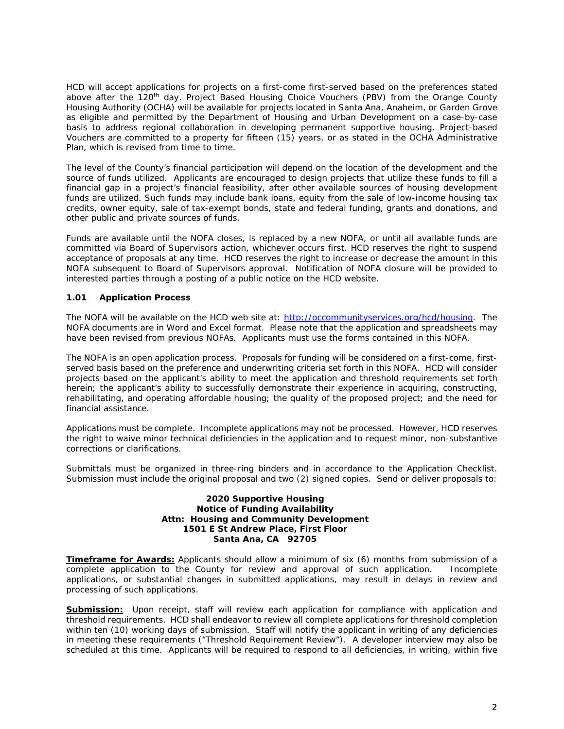HCD will accept applications for projects on a first-come first-served based on the preferences stated above after the 120<sup>th</sup> day. Project Based Housing Choice Vouchers (PBV) from the Orange County Housing Authority (OCHA) will be available for projects located in Santa Ana, Anaheim, or Garden Grove as eligible and permitted by the Department of Housing and Urban Development on a case-by-case basis to address regional collaboration in developing permanent supportive housing. Project-based Vouchers are committed to a property for fifteen (15) years, or as stated in the OCHA Administrative Plan, which is revised from time to time.

The level of the County's financial participation will depend on the location of the development and the source of funds utilized. Applicants are encouraged to design projects that utilize these funds to fill a financial gap in a project's financial feasibility, after other available sources of housing development funds are utilized. Such funds may include bank loans, equity from the sale of low-income housing tax credits, owner equity, sale of tax-exempt bonds, state and federal funding, grants and donations, and other public and private sources of funds.

Funds are available until the NOFA closes, is replaced by a new NOFA, or until all available funds are committed via Board of Supervisors action, whichever occurs first. HCD reserves the right to suspend acceptance of proposals at any time. HCD reserves the right to increase or decrease the amount in this NOFA subsequent to Board of Supervisors approval. Notification of NOFA closure will be provided to interested parties through a posting of a public notice on the HCD website.

# **1.01 Application Process**

The NOFA will be available on the HCD web site at: [http://occommunityservices.org/hcd/housing.](http://occommunityservices.org/hcd/housing) The NOFA documents are in Word and Excel format. Please note that the application and spreadsheets may have been revised from previous NOFAs. Applicants must use the forms contained in this NOFA.

The NOFA is an open application process. Proposals for funding will be considered on a first-come, firstserved basis based on the preference and underwriting criteria set forth in this NOFA. HCD will consider projects based on the applicant's ability to meet the application and threshold requirements set forth herein; the applicant's ability to successfully demonstrate their experience in acquiring, constructing, rehabilitating, and operating affordable housing; the quality of the proposed project; and the need for financial assistance.

Applications must be complete. Incomplete applications may not be processed. However, HCD reserves the right to waive minor technical deficiencies in the application and to request minor, non-substantive corrections or clarifications.

Submittals must be organized in three-ring binders and in accordance to the Application Checklist. Submission must include the original proposal and two (2) signed copies. Send or deliver proposals to:

#### **2020 Supportive Housing Notice of Funding Availability Attn: Housing and Community Development 1501 E St Andrew Place, First Floor Santa Ana, CA 92705**

*Timeframe for Awards:* Applicants should allow a minimum of six (6) months from submission of a complete application to the County for review and approval of such application. Incomplete applications, or substantial changes in submitted applications, may result in delays in review and processing of such applications.

**Submission:** Upon receipt, staff will review each application for compliance with application and threshold requirements. HCD shall endeavor to review all complete applications for threshold completion within ten (10) working days of submission. Staff will notify the applicant in writing of any deficiencies in meeting these requirements ("Threshold Requirement Review"). A developer interview may also be scheduled at this time. Applicants will be required to respond to all deficiencies, in writing, within five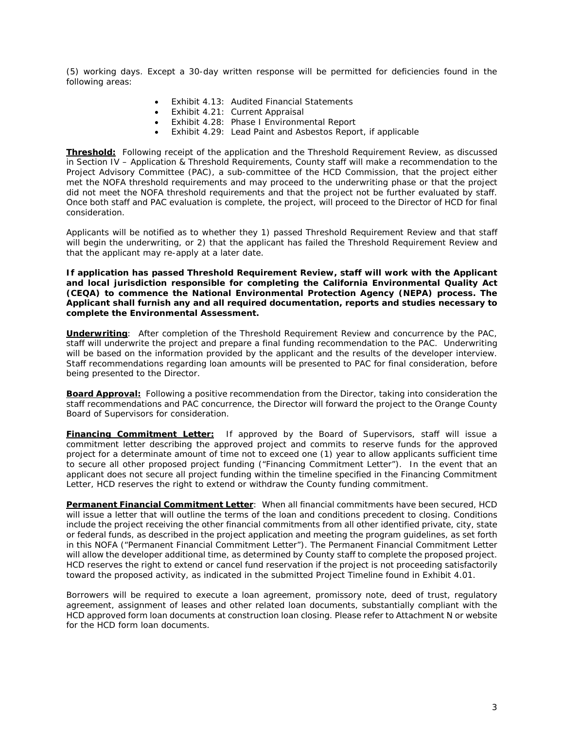(5) working days. Except a 30-day written response will be permitted for deficiencies found in the following areas:

- Exhibit 4.13: Audited Financial Statements
- Exhibit 4.21: Current Appraisal
- Exhibit 4.28: Phase I Environmental Report
- Exhibit 4.29: Lead Paint and Asbestos Report, if applicable

*Threshold***:**Following receipt of the application and the Threshold Requirement Review, as discussed in Section IV – Application & Threshold Requirements, County staff will make a recommendation to the Project Advisory Committee (PAC), a sub-committee of the HCD Commission, that the project either met the NOFA threshold requirements and may proceed to the underwriting phase or that the project did not meet the NOFA threshold requirements and that the project not be further evaluated by staff. Once both staff and PAC evaluation is complete, the project, will proceed to the Director of HCD for final consideration.

Applicants will be notified as to whether they 1) passed Threshold Requirement Review and that staff will begin the underwriting, or 2) that the applicant has failed the Threshold Requirement Review and that the applicant may re-apply at a later date.

**If application has passed Threshold Requirement Review, staff will work with the Applicant and local jurisdiction responsible for completing the California Environmental Quality Act (CEQA) to commence the National Environmental Protection Agency (NEPA) process. The Applicant shall furnish any and all required documentation, reports and studies necessary to complete the Environmental Assessment.**

*Underwriting:* After completion of the Threshold Requirement Review and concurrence by the PAC, staff will underwrite the project and prepare a final funding recommendation to the PAC. Underwriting will be based on the information provided by the applicant and the results of the developer interview. Staff recommendations regarding loan amounts will be presented to PAC for final consideration, before being presented to the Director.

*Board Approval:* Following a positive recommendation from the Director, taking into consideration the staff recommendations and PAC concurrence, the Director will forward the project to the Orange County Board of Supervisors for consideration.

**Financing Commitment Letter:** If approved by the Board of Supervisors, staff will issue a commitment letter describing the approved project and commits to reserve funds for the approved project for a determinate amount of time not to exceed one (1) year to allow applicants sufficient time to secure all other proposed project funding ("Financing Commitment Letter"). In the event that an applicant does not secure all project funding within the timeline specified in the Financing Commitment Letter, HCD reserves the right to extend or withdraw the County funding commitment.

*Permanent Financial Commitment Letter:* When all financial commitments have been secured, HCD will issue a letter that will outline the terms of the loan and conditions precedent to closing. Conditions include the project receiving the other financial commitments from all other identified private, city, state or federal funds, as described in the project application and meeting the program guidelines, as set forth in this NOFA ("Permanent Financial Commitment Letter"). The Permanent Financial Commitment Letter will allow the developer additional time, as determined by County staff to complete the proposed project. HCD reserves the right to extend or cancel fund reservation if the project is not proceeding satisfactorily toward the proposed activity, as indicated in the submitted Project Timeline found in Exhibit 4.01.

Borrowers will be required to execute a loan agreement, promissory note, deed of trust, regulatory agreement, assignment of leases and other related loan documents, substantially compliant with the HCD approved form loan documents at construction loan closing. Please refer to Attachment N or website for the HCD form loan documents.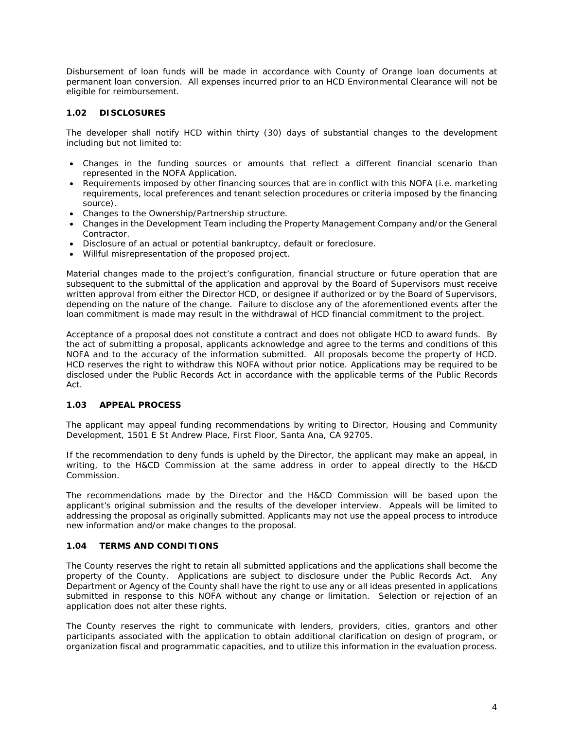Disbursement of loan funds will be made in accordance with County of Orange loan documents at permanent loan conversion. All expenses incurred prior to an HCD Environmental Clearance will not be eligible for reimbursement.

# **1.02 DISCLOSURES**

The developer shall notify HCD within thirty (30) days of substantial changes to the development including but not limited to:

- Changes in the funding sources or amounts that reflect a different financial scenario than represented in the NOFA Application.
- Requirements imposed by other financing sources that are in conflict with this NOFA (i.e. marketing requirements, local preferences and tenant selection procedures or criteria imposed by the financing source).
- Changes to the Ownership/Partnership structure.
- Changes in the Development Team including the Property Management Company and/or the General Contractor.
- Disclosure of an actual or potential bankruptcy, default or foreclosure.
- Willful misrepresentation of the proposed project.

Material changes made to the project's configuration, financial structure or future operation that are subsequent to the submittal of the application and approval by the Board of Supervisors must receive written approval from either the Director HCD, or designee if authorized or by the Board of Supervisors, depending on the nature of the change. Failure to disclose any of the aforementioned events after the loan commitment is made may result in the withdrawal of HCD financial commitment to the project.

Acceptance of a proposal does not constitute a contract and does not obligate HCD to award funds. By the act of submitting a proposal, applicants acknowledge and agree to the terms and conditions of this NOFA and to the accuracy of the information submitted. All proposals become the property of HCD. HCD reserves the right to withdraw this NOFA without prior notice. Applications may be required to be disclosed under the Public Records Act in accordance with the applicable terms of the Public Records Act.

# **1.03 APPEAL PROCESS**

The applicant may appeal funding recommendations by writing to Director, Housing and Community Development, 1501 E St Andrew Place, First Floor, Santa Ana, CA 92705.

If the recommendation to deny funds is upheld by the Director, the applicant may make an appeal, in writing, to the H&CD Commission at the same address in order to appeal directly to the H&CD Commission.

The recommendations made by the Director and the H&CD Commission will be based upon the applicant's original submission and the results of the developer interview. Appeals will be limited to addressing the proposal as originally submitted. Applicants may not use the appeal process to introduce new information and/or make changes to the proposal.

## **1.04 TERMS AND CONDITIONS**

The County reserves the right to retain all submitted applications and the applications shall become the property of the County. Applications are subject to disclosure under the Public Records Act. Any Department or Agency of the County shall have the right to use any or all ideas presented in applications submitted in response to this NOFA without any change or limitation. Selection or rejection of an application does not alter these rights.

The County reserves the right to communicate with lenders, providers, cities, grantors and other participants associated with the application to obtain additional clarification on design of program, or organization fiscal and programmatic capacities, and to utilize this information in the evaluation process.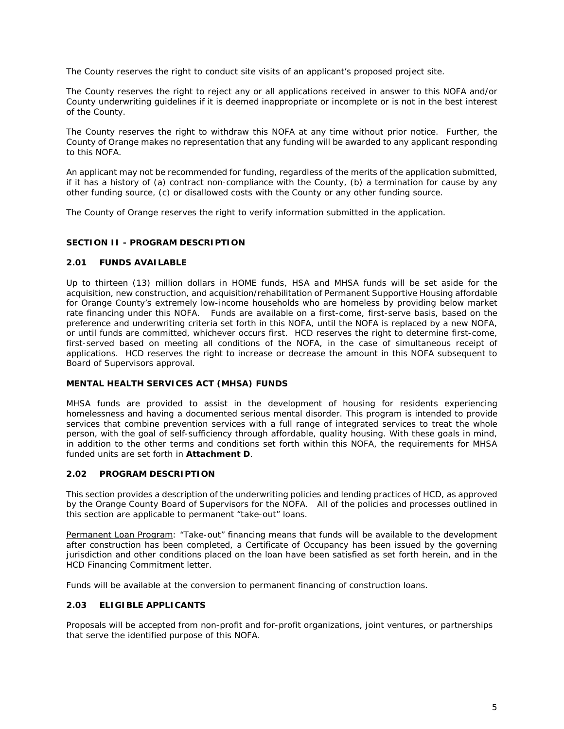The County reserves the right to conduct site visits of an applicant's proposed project site.

The County reserves the right to reject any or all applications received in answer to this NOFA and/or County underwriting guidelines if it is deemed inappropriate or incomplete or is not in the best interest of the County.

The County reserves the right to withdraw this NOFA at any time without prior notice. Further, the County of Orange makes no representation that any funding will be awarded to any applicant responding to this NOFA.

An applicant may not be recommended for funding, regardless of the merits of the application submitted, if it has a history of (a) contract non-compliance with the County, (b) a termination for cause by any other funding source, (c) or disallowed costs with the County or any other funding source.

The County of Orange reserves the right to verify information submitted in the application.

# **SECTION II - PROGRAM DESCRIPTION**

# **2.01 FUNDS AVAILABLE**

Up to thirteen (13) million dollars in HOME funds, HSA and MHSA funds will be set aside for the acquisition, new construction, and acquisition/rehabilitation of Permanent Supportive Housing affordable for Orange County's extremely low-income households who are homeless by providing below market rate financing under this NOFA. Funds are available on a first-come, first-serve basis, based on the preference and underwriting criteria set forth in this NOFA, until the NOFA is replaced by a new NOFA, or until funds are committed, whichever occurs first. HCD reserves the right to determine first-come, first-served based on meeting all conditions of the NOFA, in the case of simultaneous receipt of applications. HCD reserves the right to increase or decrease the amount in this NOFA subsequent to Board of Supervisors approval.

# **MENTAL HEALTH SERVICES ACT (MHSA) FUNDS**

MHSA funds are provided to assist in the development of housing for residents experiencing homelessness and having a documented serious mental disorder. This program is intended to provide services that combine prevention services with a full range of integrated services to treat the whole person, with the goal of self-sufficiency through affordable, quality housing. With these goals in mind, in addition to the other terms and conditions set forth within this NOFA, the requirements for MHSA funded units are set forth in **Attachment D**.

#### **2.02 PROGRAM DESCRIPTION**

This section provides a description of the underwriting policies and lending practices of HCD, as approved by the Orange County Board of Supervisors for the NOFA. All of the policies and processes outlined in this section are applicable to permanent "take-out" loans.

Permanent Loan Program: "Take-out" financing means that funds will be available to the development after construction has been completed, a Certificate of Occupancy has been issued by the governing jurisdiction and other conditions placed on the loan have been satisfied as set forth herein, and in the HCD Financing Commitment letter.

Funds will be available at the conversion to permanent financing of construction loans.

# **2.03 ELIGIBLE APPLICANTS**

Proposals will be accepted from non-profit and for-profit organizations, joint ventures, or partnerships that serve the identified purpose of this NOFA.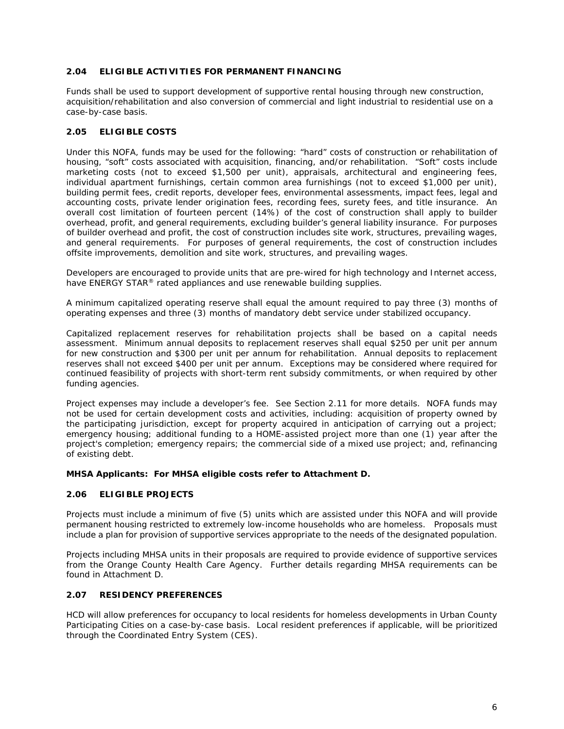# **2.04 ELIGIBLE ACTIVITIES FOR PERMANENT FINANCING**

Funds shall be used to support development of supportive rental housing through new construction, acquisition/rehabilitation and also conversion of commercial and light industrial to residential use on a case-by-case basis.

# **2.05 ELIGIBLE COSTS**

Under this NOFA, funds may be used for the following: "hard" costs of construction or rehabilitation of housing, "soft" costs associated with acquisition, financing, and/or rehabilitation. "Soft" costs include marketing costs (not to exceed \$1,500 per unit), appraisals, architectural and engineering fees, individual apartment furnishings, certain common area furnishings (not to exceed \$1,000 per unit), building permit fees, credit reports, developer fees, environmental assessments, impact fees, legal and accounting costs, private lender origination fees, recording fees, surety fees, and title insurance. An overall cost limitation of fourteen percent (14%) of the cost of construction shall apply to builder overhead, profit, and general requirements, excluding builder's general liability insurance. For purposes of builder overhead and profit, the cost of construction includes site work, structures, prevailing wages, and general requirements. For purposes of general requirements, the cost of construction includes offsite improvements, demolition and site work, structures, and prevailing wages.

Developers are encouraged to provide units that are pre-wired for high technology and Internet access, have ENERGY STAR<sup>®</sup> rated appliances and use renewable building supplies.

A minimum capitalized operating reserve shall equal the amount required to pay three (3) months of operating expenses and three (3) months of mandatory debt service under stabilized occupancy.

Capitalized replacement reserves for rehabilitation projects shall be based on a capital needs assessment. Minimum annual deposits to replacement reserves shall equal \$250 per unit per annum for new construction and \$300 per unit per annum for rehabilitation. Annual deposits to replacement reserves shall not exceed \$400 per unit per annum. Exceptions may be considered where required for continued feasibility of projects with short-term rent subsidy commitments, or when required by other funding agencies.

Project expenses may include a developer's fee. See Section 2.11 for more details. NOFA funds may not be used for certain development costs and activities, including: acquisition of property owned by the participating jurisdiction, except for property acquired in anticipation of carrying out a project; emergency housing; additional funding to a HOME-assisted project more than one (1) year after the project's completion; emergency repairs; the commercial side of a mixed use project; and, refinancing of existing debt.

# **MHSA Applicants: For MHSA eligible costs refer to Attachment D.**

# **2.06 ELIGIBLE PROJECTS**

Projects must include a minimum of five (5) units which are assisted under this NOFA and will provide permanent housing restricted to extremely low-income households who are homeless. Proposals must include a plan for provision of supportive services appropriate to the needs of the designated population.

Projects including MHSA units in their proposals are required to provide evidence of supportive services from the Orange County Health Care Agency. Further details regarding MHSA requirements can be found in Attachment D.

# **2.07 RESIDENCY PREFERENCES**

HCD will allow preferences for occupancy to local residents for homeless developments in Urban County Participating Cities on a case-by-case basis. Local resident preferences if applicable, will be prioritized through the Coordinated Entry System (CES).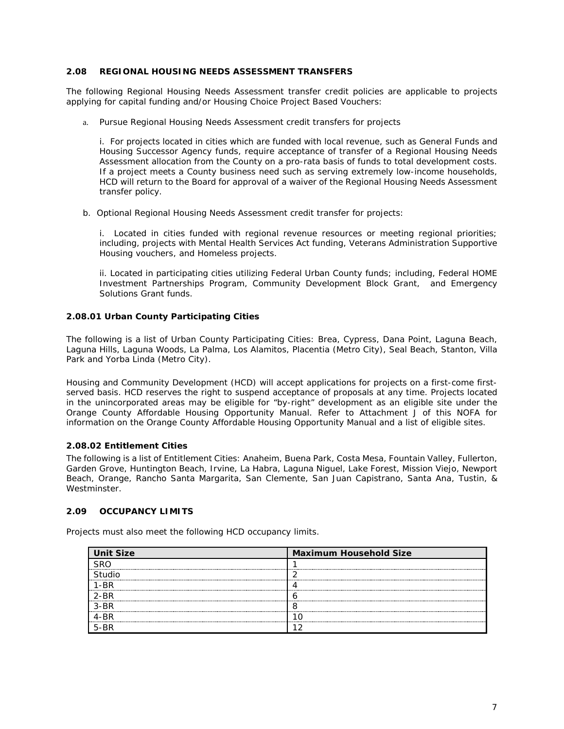## **2.08 REGIONAL HOUSING NEEDS ASSESSMENT TRANSFERS**

The following Regional Housing Needs Assessment transfer credit policies are applicable to projects applying for capital funding and/or Housing Choice Project Based Vouchers:

a. Pursue Regional Housing Needs Assessment credit transfers for projects

i. For projects located in cities which are funded with local revenue, such as General Funds and Housing Successor Agency funds, require acceptance of transfer of a Regional Housing Needs Assessment allocation from the County on a pro-rata basis of funds to total development costs. If a project meets a County business need such as serving extremely low-income households, HCD will return to the Board for approval of a waiver of the Regional Housing Needs Assessment transfer policy.

b. Optional Regional Housing Needs Assessment credit transfer for projects:

i. Located in cities funded with regional revenue resources or meeting regional priorities; including, projects with Mental Health Services Act funding, Veterans Administration Supportive Housing vouchers, and Homeless projects.

ii. Located in participating cities utilizing Federal Urban County funds; including, Federal HOME Investment Partnerships Program, Community Development Block Grant, and Emergency Solutions Grant funds.

# **2.08.01 Urban County Participating Cities**

The following is a list of Urban County Participating Cities: Brea, Cypress, Dana Point, Laguna Beach, Laguna Hills, Laguna Woods, La Palma, Los Alamitos, Placentia (Metro City), Seal Beach, Stanton, Villa Park and Yorba Linda (Metro City).

Housing and Community Development (HCD) will accept applications for projects on a first-come firstserved basis. HCD reserves the right to suspend acceptance of proposals at any time. Projects located in the unincorporated areas may be eligible for "by-right" development as an eligible site under the Orange County Affordable Housing Opportunity Manual. Refer to Attachment J of this NOFA for information on the Orange County Affordable Housing Opportunity Manual and a list of eligible sites.

# **2.08.02 Entitlement Cities**

The following is a list of Entitlement Cities: Anaheim, Buena Park, Costa Mesa, Fountain Valley, Fullerton, Garden Grove, Huntington Beach, Irvine, La Habra, Laguna Niguel, Lake Forest, Mission Viejo, Newport Beach, Orange, Rancho Santa Margarita, San Clemente, San Juan Capistrano, Santa Ana, Tustin, & Westminster.

# **2.09 OCCUPANCY LIMITS**

Projects must also meet the following HCD occupancy limits.

| <b>Unit Size</b>    | <b>Maximum Household Size</b> |
|---------------------|-------------------------------|
|                     |                               |
|                     |                               |
|                     |                               |
|                     |                               |
| ******************* |                               |
| ------------        |                               |
|                     |                               |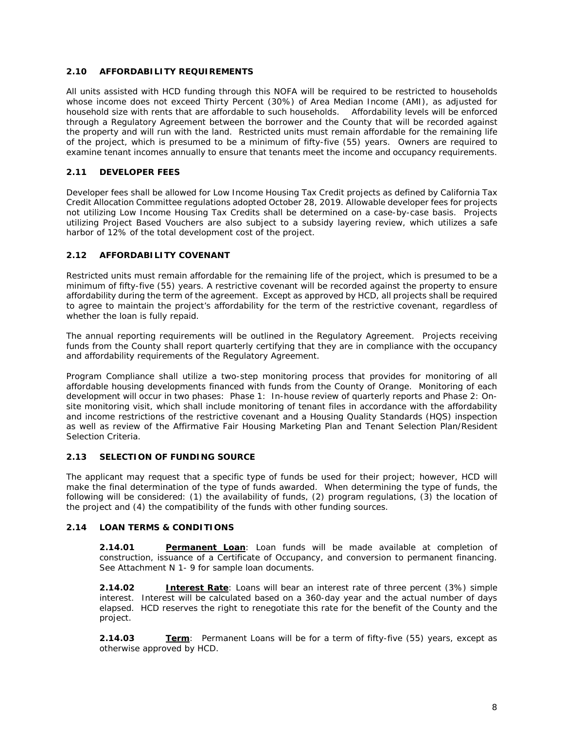# **2.10 AFFORDABILITY REQUIREMENTS**

All units assisted with HCD funding through this NOFA will be required to be restricted to households whose income does not exceed Thirty Percent (30%) of Area Median Income (AMI), as adjusted for household size with rents that are affordable to such households. Affordability levels will be enforced through a Regulatory Agreement between the borrower and the County that will be recorded against the property and will run with the land. Restricted units must remain affordable for the remaining life of the project, which is presumed to be a minimum of fifty-five (55) years. Owners are required to examine tenant incomes annually to ensure that tenants meet the income and occupancy requirements.

# **2.11 DEVELOPER FEES**

Developer fees shall be allowed for Low Income Housing Tax Credit projects as defined by California Tax Credit Allocation Committee regulations adopted October 28, 2019. Allowable developer fees for projects not utilizing Low Income Housing Tax Credits shall be determined on a case-by-case basis. Projects utilizing Project Based Vouchers are also subject to a subsidy layering review, which utilizes a safe harbor of 12% of the total development cost of the project.

# **2.12 AFFORDABILITY COVENANT**

Restricted units must remain affordable for the remaining life of the project, which is presumed to be a minimum of fifty-five (55) years. A restrictive covenant will be recorded against the property to ensure affordability during the term of the agreement. Except as approved by HCD, all projects shall be required to agree to maintain the project's affordability for the term of the restrictive covenant, regardless of whether the loan is fully repaid.

The annual reporting requirements will be outlined in the Regulatory Agreement. Projects receiving funds from the County shall report quarterly certifying that they are in compliance with the occupancy and affordability requirements of the Regulatory Agreement.

Program Compliance shall utilize a two-step monitoring process that provides for monitoring of all affordable housing developments financed with funds from the County of Orange. Monitoring of each development will occur in two phases: Phase 1: In-house review of quarterly reports and Phase 2: Onsite monitoring visit, which shall include monitoring of tenant files in accordance with the affordability and income restrictions of the restrictive covenant and a Housing Quality Standards (HQS) inspection as well as review of the Affirmative Fair Housing Marketing Plan and Tenant Selection Plan/Resident Selection Criteria.

# **2.13 SELECTION OF FUNDING SOURCE**

The applicant may request that a specific type of funds be used for their project; however, HCD will make the final determination of the type of funds awarded. When determining the type of funds, the following will be considered: (1) the availability of funds, (2) program regulations, (3) the location of the project and (4) the compatibility of the funds with other funding sources.

# **2.14 LOAN TERMS & CONDITIONS**

**2.14.01 Permanent Loan**: Loan funds will be made available at completion of construction, issuance of a Certificate of Occupancy, and conversion to permanent financing. See Attachment N 1- 9 for sample loan documents.

**2.14.02 Interest Rate**: Loans will bear an interest rate of three percent (3%) simple interest. Interest will be calculated based on a 360-day year and the actual number of days elapsed. HCD reserves the right to renegotiate this rate for the benefit of the County and the project.

**2.14.03 Term**: Permanent Loans will be for a term of fifty-five (55) years, except as otherwise approved by HCD.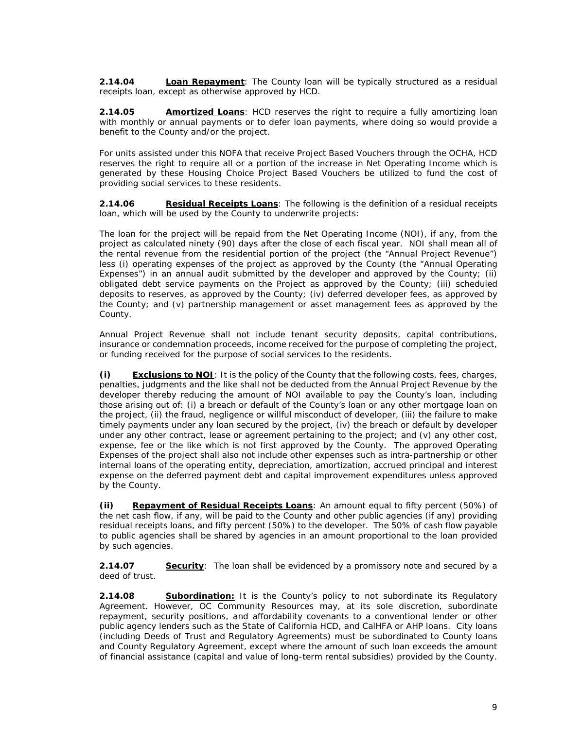**2.14.04 Loan Repayment**: The County loan will be typically structured as a residual receipts loan, except as otherwise approved by HCD.

**2.14.05 Amortized Loans**: HCD reserves the right to require a fully amortizing loan with monthly or annual payments or to defer loan payments, where doing so would provide a benefit to the County and/or the project.

For units assisted under this NOFA that receive Project Based Vouchers through the OCHA, HCD reserves the right to require all or a portion of the increase in Net Operating Income which is generated by these Housing Choice Project Based Vouchers be utilized to fund the cost of providing social services to these residents.

**2.14.06 Residual Receipts Loans**: The following is the definition of a residual receipts loan, which will be used by the County to underwrite projects:

The loan for the project will be repaid from the Net Operating Income (NOI), if any, from the project as calculated ninety (90) days after the close of each fiscal year. NOI shall mean all of the rental revenue from the residential portion of the project (the "Annual Project Revenue") less (i) operating expenses of the project as approved by the County (the "Annual Operating Expenses") in an annual audit submitted by the developer and approved by the County; (ii) obligated debt service payments on the Project as approved by the County; (iii) scheduled deposits to reserves, as approved by the County; (iv) deferred developer fees, as approved by the County; and (v) partnership management or asset management fees as approved by the County.

Annual Project Revenue shall not include tenant security deposits, capital contributions, insurance or condemnation proceeds, income received for the purpose of completing the project, or funding received for the purpose of social services to the residents.

**(i) Exclusions to NOI**: It is the policy of the County that the following costs, fees, charges, penalties, judgments and the like shall not be deducted from the Annual Project Revenue by the developer thereby reducing the amount of NOI available to pay the County's loan, including those arising out of: (i) a breach or default of the County's loan or any other mortgage loan on the project, (ii) the fraud, negligence or willful misconduct of developer, (iii) the failure to make timely payments under any loan secured by the project, (iv) the breach or default by developer under any other contract, lease or agreement pertaining to the project; and (v) any other cost, expense, fee or the like which is not first approved by the County. The approved Operating Expenses of the project shall also not include other expenses such as intra-partnership or other internal loans of the operating entity, depreciation, amortization, accrued principal and interest expense on the deferred payment debt and capital improvement expenditures unless approved by the County.

**(ii) Repayment of Residual Receipts Loans**: An amount equal to fifty percent (50%) of the net cash flow, if any, will be paid to the County and other public agencies (if any) providing residual receipts loans, and fifty percent (50%) to the developer. The 50% of cash flow payable to public agencies shall be shared by agencies in an amount proportional to the loan provided by such agencies.

**2.14.07 Security**: The loan shall be evidenced by a promissory note and secured by a deed of trust.

**2.14.08 Subordination:** It is the County's policy to not subordinate its Regulatory Agreement. However, OC Community Resources may, at its sole discretion, subordinate repayment, security positions, and affordability covenants to a conventional lender or other public agency lenders such as the State of California HCD, and CalHFA or AHP loans. City loans (including Deeds of Trust and Regulatory Agreements) must be subordinated to County loans and County Regulatory Agreement, except where the amount of such loan exceeds the amount of financial assistance (capital and value of long-term rental subsidies) provided by the County.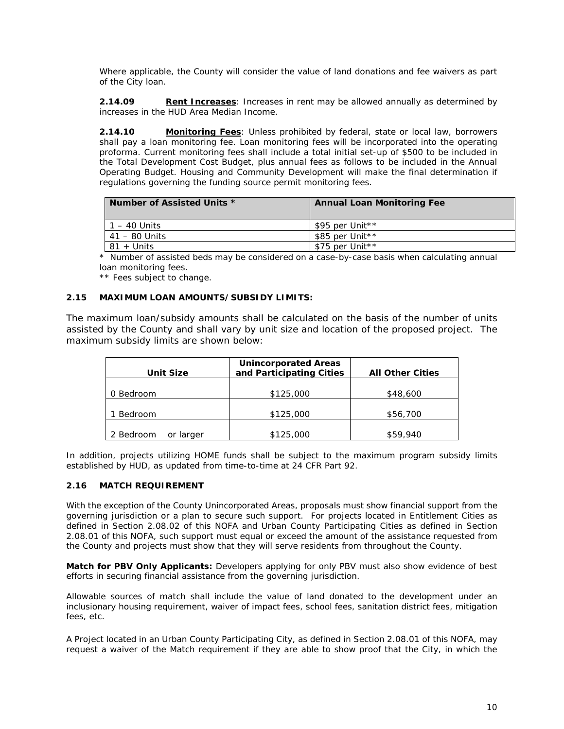Where applicable, the County will consider the value of land donations and fee waivers as part of the City loan.

**2.14.09 Rent Increases**: Increases in rent may be allowed annually as determined by increases in the HUD Area Median Income.

**2.14.10 Monitoring Fees**: Unless prohibited by federal, state or local law, borrowers shall pay a loan monitoring fee. Loan monitoring fees will be incorporated into the operating proforma. Current monitoring fees shall include a total initial set-up of \$500 to be included in the Total Development Cost Budget, plus annual fees as follows to be included in the Annual Operating Budget. Housing and Community Development will make the final determination if regulations governing the funding source permit monitoring fees.

| Number of Assisted Units * | <b>Annual Loan Monitoring Fee</b> |
|----------------------------|-----------------------------------|
| $1 - 40$ Units             | \$95 per Unit**                   |
| 41 – 80 Units              | \$85 per Unit**                   |
| 81 + Units                 | \$75 per Unit**                   |

\* Number of assisted beds may be considered on a case-by-case basis when calculating annual loan monitoring fees.

\*\* Fees subject to change.

#### **2.15 MAXIMUM LOAN AMOUNTS/SUBSIDY LIMITS:**

The maximum loan/subsidy amounts shall be calculated on the basis of the number of units assisted by the County and shall vary by unit size and location of the proposed project. The maximum subsidy limits are shown below:

| <b>Unit Size</b>       | <b>Unincorporated Areas</b><br>and Participating Cities | <b>All Other Cities</b> |
|------------------------|---------------------------------------------------------|-------------------------|
| 0 Bedroom              | \$125,000                                               | \$48,600                |
| Bedroom                | \$125,000                                               | \$56,700                |
| 2 Bedroom<br>or larger | \$125,000                                               | \$59,940                |

In addition, projects utilizing HOME funds shall be subject to the maximum program subsidy limits established by HUD, as updated from time-to-time at 24 CFR Part 92.

#### **2.16 MATCH REQUIREMENT**

With the exception of the County Unincorporated Areas, proposals must show financial support from the governing jurisdiction or a plan to secure such support. For projects located in Entitlement Cities as defined in Section 2.08.02 of this NOFA and Urban County Participating Cities as defined in Section 2.08.01 of this NOFA, such support must equal or exceed the amount of the assistance requested from the County and projects must show that they will serve residents from throughout the County.

**Match for PBV Only Applicants:** Developers applying for only PBV must also show evidence of best efforts in securing financial assistance from the governing jurisdiction.

Allowable sources of match shall include the value of land donated to the development under an inclusionary housing requirement, waiver of impact fees, school fees, sanitation district fees, mitigation fees, etc.

A Project located in an Urban County Participating City, as defined in Section 2.08.01 of this NOFA, may request a waiver of the Match requirement if they are able to show proof that the City, in which the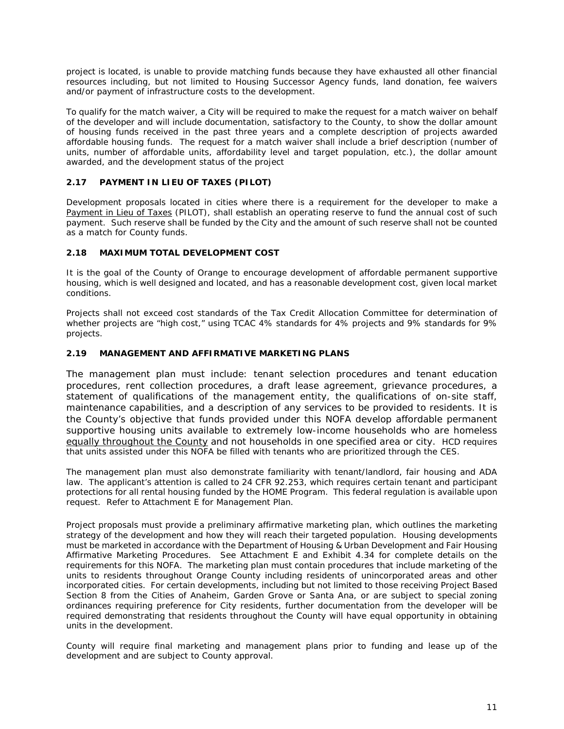project is located, is unable to provide matching funds because they have exhausted all other financial resources including, but not limited to Housing Successor Agency funds, land donation, fee waivers and/or payment of infrastructure costs to the development.

To qualify for the match waiver, a City will be required to make the request for a match waiver on behalf of the developer and will include documentation, satisfactory to the County, to show the dollar amount of housing funds received in the past three years and a complete description of projects awarded affordable housing funds. The request for a match waiver shall include a brief description (number of units, number of affordable units, affordability level and target population, etc.), the dollar amount awarded, and the development status of the project

# **2.17 PAYMENT IN LIEU OF TAXES (PILOT)**

Development proposals located in cities where there is a requirement for the developer to make a Payment in Lieu of Taxes (PILOT), shall establish an operating reserve to fund the annual cost of such payment. Such reserve shall be funded by the City and the amount of such reserve shall not be counted as a match for County funds.

# **2.18 MAXIMUM TOTAL DEVELOPMENT COST**

It is the goal of the County of Orange to encourage development of affordable permanent supportive housing, which is well designed and located, and has a reasonable development cost, given local market conditions.

Projects shall not exceed cost standards of the Tax Credit Allocation Committee for determination of whether projects are "high cost," using TCAC 4% standards for 4% projects and 9% standards for 9% projects.

# **2.19 MANAGEMENT AND AFFIRMATIVE MARKETING PLANS**

The management plan must include: tenant selection procedures and tenant education procedures, rent collection procedures, a draft lease agreement, grievance procedures, a statement of qualifications of the management entity, the qualifications of on-site staff, maintenance capabilities, and a description of any services to be provided to residents. It is the County's objective that funds provided under this NOFA develop affordable permanent supportive housing units available to extremely low-income households who are homeless equally throughout the County and not households in one specified area or city. HCD requires that units assisted under this NOFA be filled with tenants who are prioritized through the CES.

The management plan must also demonstrate familiarity with tenant/landlord, fair housing and ADA law. The applicant's attention is called to 24 CFR 92.253, which requires certain tenant and participant protections for all rental housing funded by the HOME Program. This federal regulation is available upon request. Refer to Attachment E for Management Plan.

Project proposals must provide a preliminary affirmative marketing plan, which outlines the marketing strategy of the development and how they will reach their targeted population. Housing developments must be marketed in accordance with the Department of Housing & Urban Development and Fair Housing Affirmative Marketing Procedures. See Attachment E and Exhibit 4.34 for complete details on the requirements for this NOFA. The marketing plan must contain procedures that include marketing of the units to residents throughout Orange County including residents of unincorporated areas and other incorporated cities. For certain developments, including but not limited to those receiving Project Based Section 8 from the Cities of Anaheim, Garden Grove or Santa Ana, or are subject to special zoning ordinances requiring preference for City residents, further documentation from the developer will be required demonstrating that residents throughout the County will have equal opportunity in obtaining units in the development.

County will require final marketing and management plans prior to funding and lease up of the development and are subject to County approval.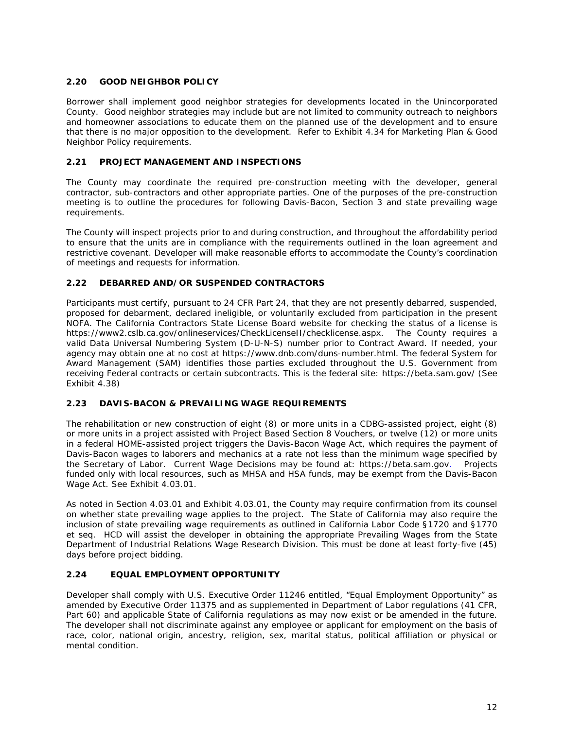# **2.20 GOOD NEIGHBOR POLICY**

Borrower shall implement good neighbor strategies for developments located in the Unincorporated County. Good neighbor strategies may include but are not limited to community outreach to neighbors and homeowner associations to educate them on the planned use of the development and to ensure that there is no major opposition to the development. Refer to Exhibit 4.34 for Marketing Plan & Good Neighbor Policy requirements.

# **2.21 PROJECT MANAGEMENT AND INSPECTIONS**

The County may coordinate the required pre-construction meeting with the developer, general contractor, sub-contractors and other appropriate parties. One of the purposes of the pre-construction meeting is to outline the procedures for following Davis-Bacon, Section 3 and state prevailing wage requirements.

The County will inspect projects prior to and during construction, and throughout the affordability period to ensure that the units are in compliance with the requirements outlined in the loan agreement and restrictive covenant. Developer will make reasonable efforts to accommodate the County's coordination of meetings and requests for information.

# **2.22 DEBARRED AND/OR SUSPENDED CONTRACTORS**

Participants must certify, pursuant to 24 CFR Part 24, that they are not presently debarred, suspended, proposed for debarment, declared ineligible, or voluntarily excluded from participation in the present NOFA. The California Contractors State License Board website for checking the status of a license is [https://www2.cslb.ca.gov/onlineservices/CheckLicenseII/checklicense.aspx.](https://www2.cslb.ca.gov/onlineservices/CheckLicenseII/checklicense.aspx) The County requires a valid Data Universal Numbering System (D-U-N-S) number prior to Contract Award. If needed, your agency may obtain one at no cost at https://www.dnb.com/duns-number.html. The federal System for Award Management (SAM) identifies those parties excluded throughout the U.S. Government from receiving Federal contracts or certain subcontracts. This is the federal site:<https://beta.sam.gov/> (See Exhibit 4.38)

# **2.23 DAVIS-BACON & PREVAILING WAGE REQUIREMENTS**

The rehabilitation or new construction of eight (8) or more units in a CDBG-assisted project, eight (8) or more units in a project assisted with Project Based Section 8 Vouchers, or twelve (12) or more units in a federal HOME-assisted project triggers the Davis-Bacon Wage Act, which requires the payment of Davis-Bacon wages to laborers and mechanics at a rate not less than the minimum wage specified by the Secretary of Labor. Current Wage Decisions may be found at: https://beta.sam.gov. Projects funded only with local resources, such as MHSA and HSA funds, may be exempt from the Davis-Bacon Wage Act. See Exhibit 4.03.01.

As noted in Section 4.03.01 and Exhibit 4.03.01, the County may require confirmation from its counsel on whether state prevailing wage applies to the project. The State of California may also require the inclusion of state prevailing wage requirements as outlined in California Labor Code §1720 and §1770 et seq. HCD will assist the developer in obtaining the appropriate Prevailing Wages from the State Department of Industrial Relations Wage Research Division. This must be done at least forty-five (45) days before project bidding.

# **2.24 EQUAL EMPLOYMENT OPPORTUNITY**

Developer shall comply with U.S. Executive Order 11246 entitled, "Equal Employment Opportunity" as amended by Executive Order 11375 and as supplemented in Department of Labor regulations (41 CFR, Part 60) and applicable State of California regulations as may now exist or be amended in the future. The developer shall not discriminate against any employee or applicant for employment on the basis of race, color, national origin, ancestry, religion, sex, marital status, political affiliation or physical or mental condition.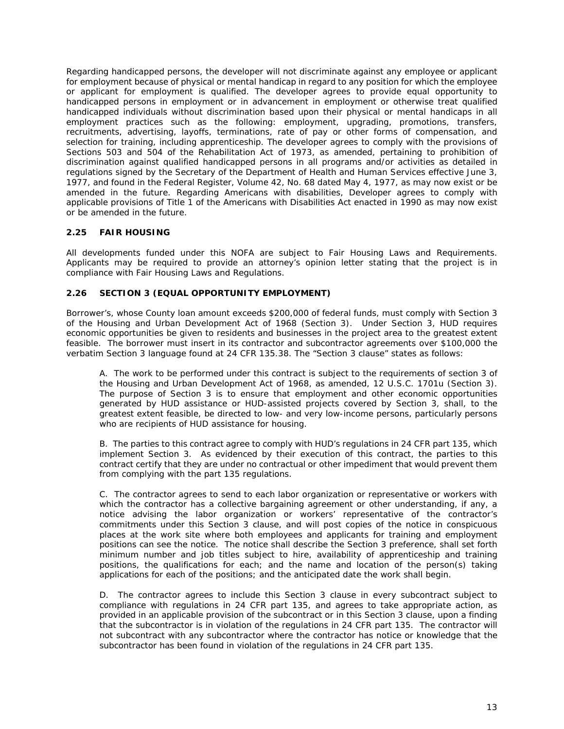Regarding handicapped persons, the developer will not discriminate against any employee or applicant for employment because of physical or mental handicap in regard to any position for which the employee or applicant for employment is qualified. The developer agrees to provide equal opportunity to handicapped persons in employment or in advancement in employment or otherwise treat qualified handicapped individuals without discrimination based upon their physical or mental handicaps in all employment practices such as the following: employment, upgrading, promotions, transfers, recruitments, advertising, layoffs, terminations, rate of pay or other forms of compensation, and selection for training, including apprenticeship. The developer agrees to comply with the provisions of Sections 503 and 504 of the Rehabilitation Act of 1973, as amended, pertaining to prohibition of discrimination against qualified handicapped persons in all programs and/or activities as detailed in regulations signed by the Secretary of the Department of Health and Human Services effective June 3, 1977, and found in the Federal Register, Volume 42, No. 68 dated May 4, 1977, as may now exist or be amended in the future. Regarding Americans with disabilities, Developer agrees to comply with applicable provisions of Title 1 of the Americans with Disabilities Act enacted in 1990 as may now exist or be amended in the future.

# **2.25 FAIR HOUSING**

All developments funded under this NOFA are subject to Fair Housing Laws and Requirements. Applicants may be required to provide an attorney's opinion letter stating that the project is in compliance with Fair Housing Laws and Regulations.

# **2.26 SECTION 3 (EQUAL OPPORTUNITY EMPLOYMENT)**

Borrower's, whose County loan amount exceeds \$200,000 of federal funds, must comply with Section 3 of the Housing and Urban Development Act of 1968 (Section 3). Under Section 3, HUD requires economic opportunities be given to residents and businesses in the project area to the greatest extent feasible. The borrower must insert in its contractor and subcontractor agreements over \$100,000 the verbatim *Section 3* language found at 24 CFR 135.38. The "Section 3 clause" states as follows:

*A. The work to be performed under this contract is subject to the requirements of section 3 of the Housing and Urban Development Act of 1968, as amended, 12 U.S.C. 1701u (Section 3). The purpose of Section 3 is to ensure that employment and other economic opportunities generated by HUD assistance or HUD-assisted projects covered by Section 3, shall, to the greatest extent feasible, be directed to low- and very low-income persons, particularly persons who are recipients of HUD assistance for housing.*

*B. The parties to this contract agree to comply with HUD's regulations in 24 CFR part 135, which implement Section 3. As evidenced by their execution of this contract, the parties to this contract certify that they are under no contractual or other impediment that would prevent them from complying with the part 135 regulations.*

*C. The contractor agrees to send to each labor organization or representative or workers with which the contractor has a collective bargaining agreement or other understanding, if any, a notice advising the labor organization or workers' representative of the contractor's commitments under this Section 3 clause, and will post copies of the notice in conspicuous places at the work site where both employees and applicants for training and employment positions can see the notice. The notice shall describe the Section 3 preference, shall set forth minimum number and job titles subject to hire, availability of apprenticeship and training positions, the qualifications for each; and the name and location of the person(s) taking applications for each of the positions; and the anticipated date the work shall begin.*

*D. The contractor agrees to include this Section 3 clause in every subcontract subject to compliance with regulations in 24 CFR part 135, and agrees to take appropriate action, as provided in an applicable provision of the subcontract or in this Section 3 clause, upon a finding that the subcontractor is in violation of the regulations in 24 CFR part 135. The contractor will not subcontract with any subcontractor where the contractor has notice or knowledge that the subcontractor has been found in violation of the regulations in 24 CFR part 135.*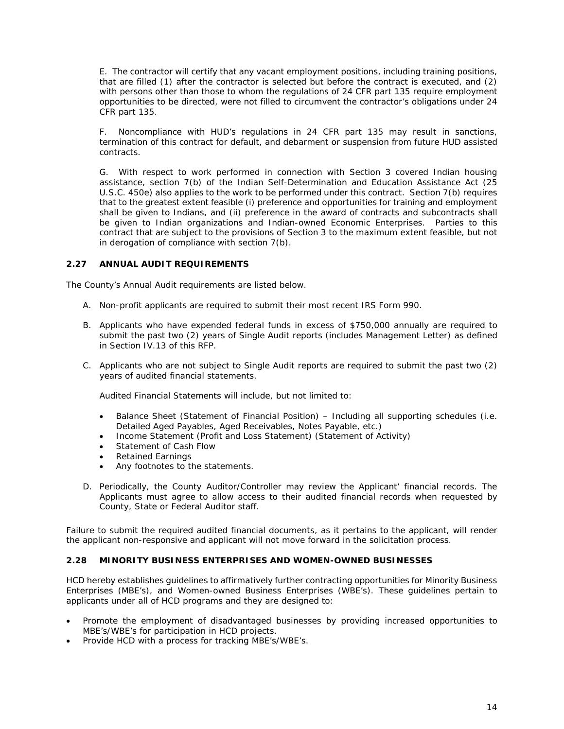*E. The contractor will certify that any vacant employment positions, including training positions, that are filled (1) after the contractor is selected but before the contract is executed, and (2) with persons other than those to whom the regulations of 24 CFR part 135 require employment opportunities to be directed, were not filled to circumvent the contractor's obligations under 24 CFR part 135.*

*F. Noncompliance with HUD's regulations in 24 CFR part 135 may result in sanctions, termination of this contract for default, and debarment or suspension from future HUD assisted contracts.*

*G. With respect to work performed in connection with Section 3 covered Indian housing assistance, section 7(b) of the Indian Self-Determination and Education Assistance Act (25 U.S.C. 450e) also applies to the work to be performed under this contract. Section 7(b) requires that to the greatest extent feasible (i) preference and opportunities for training and employment shall be given to Indians, and (ii) preference in the award of contracts and subcontracts shall be given to Indian organizations and Indian-owned Economic Enterprises. Parties to this*  contract that are subject to the provisions of Section 3 to the maximum extent feasible, but not *in derogation of compliance with section 7(b).*

# **2.27 ANNUAL AUDIT REQUIREMENTS**

The County's Annual Audit requirements are listed below.

- A. Non-profit applicants are required to submit their most recent IRS Form 990.
- B. Applicants who have expended federal funds in excess of \$750,000 annually are required to submit the past two (2) years of Single Audit reports (includes Management Letter) as defined in Section IV.13 of this RFP.
- C. Applicants who are not subject to Single Audit reports are required to submit the past two (2) years of audited financial statements.

Audited Financial Statements will include, but not limited to:

- Balance Sheet (Statement of Financial Position) Including all supporting schedules (i.e. Detailed Aged Payables, Aged Receivables, Notes Payable, etc.)
- Income Statement (Profit and Loss Statement) (Statement of Activity)
- Statement of Cash Flow
- Retained Earnings
- Any footnotes to the statements.
- D. Periodically, the County Auditor/Controller may review the Applicant' financial records. The Applicants must agree to allow access to their audited financial records when requested by County, State or Federal Auditor staff.

Failure to submit the required audited financial documents, as it pertains to the applicant, will render *the applicant non-responsive and applicant will not move forward in the solicitation process.*

# **2.28 MINORITY BUSINESS ENTERPRISES AND WOMEN-OWNED BUSINESSES**

HCD hereby establishes guidelines to affirmatively further contracting opportunities for Minority Business Enterprises (MBE's), and Women-owned Business Enterprises (WBE's). These guidelines pertain to applicants under all of HCD programs and they are designed to:

- Promote the employment of disadvantaged businesses by providing increased opportunities to MBE's/WBE's for participation in HCD projects.
- Provide HCD with a process for tracking MBE's/WBE's.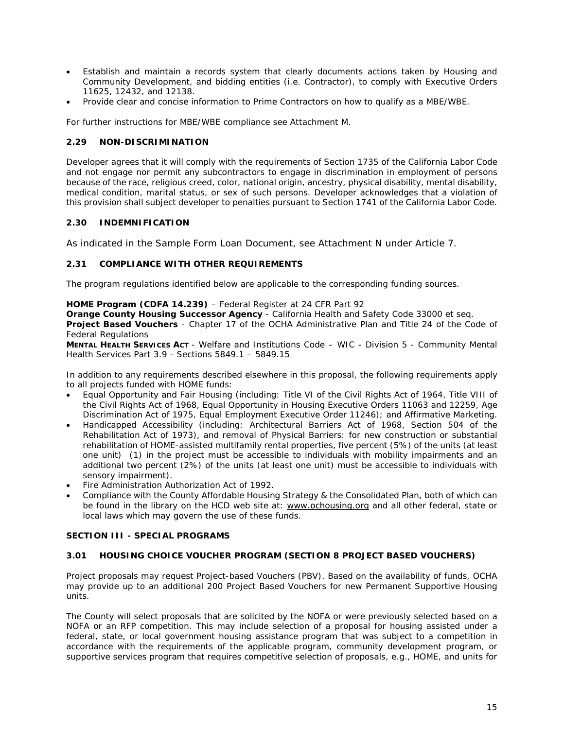- Establish and maintain a records system that clearly documents actions taken by Housing and Community Development, and bidding entities (i.e. Contractor), to comply with Executive Orders 11625, 12432, and 12138.
- Provide clear and concise information to Prime Contractors on how to qualify as a MBE/WBE.

For further instructions for MBE/WBE compliance see Attachment M.

# **2.29 NON-DISCRIMINATION**

Developer agrees that it will comply with the requirements of Section 1735 of the California Labor Code and not engage nor permit any subcontractors to engage in discrimination in employment of persons because of the race, religious creed, color, national origin, ancestry, physical disability, mental disability, medical condition, marital status, or sex of such persons. Developer acknowledges that a violation of this provision shall subject developer to penalties pursuant to Section 1741 of the California Labor Code.

# **2.30 INDEMNIFICATION**

As indicated in the Sample Form Loan Document, see Attachment N under Article 7.

# **2.31 COMPLIANCE WITH OTHER REQUIREMENTS**

The program regulations identified below are applicable to the corresponding funding sources.

# *HOME Program (CDFA 14.239)* – Federal Register at 24 CFR Part 92

*Orange County Housing Successor Agency -* California Health and Safety Code 33000 et seq. *Project Based Vouchers* - Chapter 17 of the OCHA Administrative Plan and Title 24 of the Code of Federal Regulations

*MENTAL HEALTH SERVICES ACT* - Welfare and Institutions Code – WIC - Division 5 - Community Mental Health Services Part 3.9 - Sections 5849.1 – 5849.15

In addition to any requirements described elsewhere in this proposal, the following requirements apply to all projects funded with HOME funds:

- Equal Opportunity and Fair Housing (including: Title VI of the Civil Rights Act of 1964, Title VIII of the Civil Rights Act of 1968, Equal Opportunity in Housing Executive Orders 11063 and 12259, Age Discrimination Act of 1975, Equal Employment Executive Order 11246); and Affirmative Marketing.
- Handicapped Accessibility (including: Architectural Barriers Act of 1968, Section 504 of the Rehabilitation Act of 1973), and removal of Physical Barriers: for new construction or substantial rehabilitation of HOME-assisted multifamily rental properties, five percent (5%) of the units (at least one unit) (1) in the project must be accessible to individuals with mobility impairments and an additional two percent (2%) of the units (at least one unit) must be accessible to individuals with sensory impairment).
- Fire Administration Authorization Act of 1992.
- Compliance with the County Affordable Housing Strategy & the Consolidated Plan, both of which can be found in the library on the HCD web site at: [www.ochousing.org](http://www.ochousing.org/) and all other federal, state or local laws which may govern the use of these funds.

# **SECTION III - SPECIAL PROGRAMS**

#### **3.01 HOUSING CHOICE VOUCHER PROGRAM (SECTION 8 PROJECT BASED VOUCHERS)**

Project proposals may request Project-based Vouchers (PBV). Based on the availability of funds, OCHA may provide up to an additional 200 Project Based Vouchers for new Permanent Supportive Housing units.

The County will select proposals that are solicited by the NOFA or were previously selected based on a NOFA or an RFP competition. This may include selection of a proposal for housing assisted under a federal, state, or local government housing assistance program that was subject to a competition in accordance with the requirements of the applicable program, community development program, or supportive services program that requires competitive selection of proposals, e.g., HOME, and units for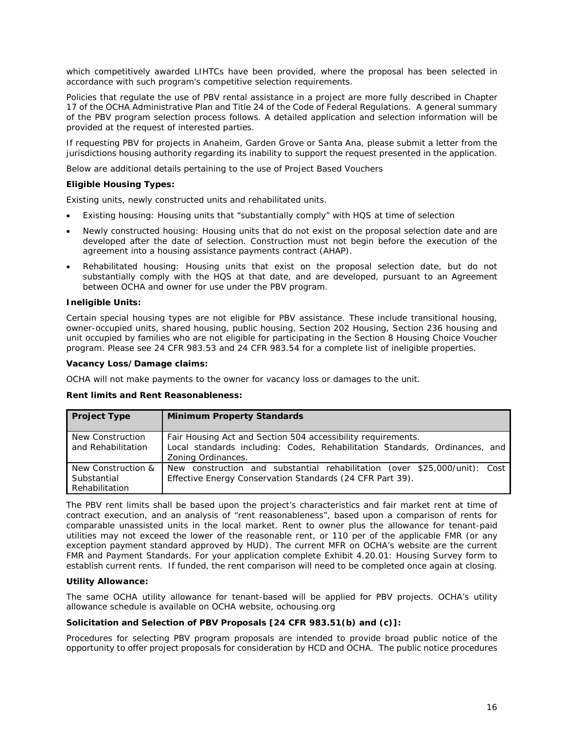which competitively awarded LIHTCs have been provided, where the proposal has been selected in accordance with such program's competitive selection requirements.

Policies that regulate the use of PBV rental assistance in a project are more fully described in Chapter 17 of the OCHA Administrative Plan and Title 24 of the Code of Federal Regulations. A general summary of the PBV program selection process follows. A detailed application and selection information will be provided at the request of interested parties.

If requesting PBV for projects in Anaheim, Garden Grove or Santa Ana, please submit a letter from the jurisdictions housing authority regarding its inability to support the request presented in the application.

Below are additional details pertaining to the use of Project Based Vouchers

# **Eligible Housing Types:**

Existing units, newly constructed units and rehabilitated units.

- Existing housing: Housing units that "substantially comply" with HQS at time of selection
- Newly constructed housing: Housing units that do not exist on the proposal selection date and are developed after the date of selection. Construction must not begin before the execution of the agreement into a housing assistance payments contract (AHAP).
- Rehabilitated housing: Housing units that exist on the proposal selection date, but do not substantially comply with the HQS at that date, and are developed, pursuant to an Agreement between OCHA and owner for use under the PBV program.

#### **Ineligible Units:**

Certain special housing types are not eligible for PBV assistance. These include transitional housing, owner-occupied units, shared housing, public housing, Section 202 Housing, Section 236 housing and unit occupied by families who are not eligible for participating in the Section 8 Housing Choice Voucher program. Please see 24 CFR 983.53 and 24 CFR 983.54 for a complete list of ineligible properties.

#### **Vacancy Loss/Damage claims:**

OCHA will not make payments to the owner for vacancy loss or damages to the unit.

#### **Rent limits and Rent Reasonableness:**

| <b>Project Type</b>                                 | <b>Minimum Property Standards</b>                                                                                                                                 |
|-----------------------------------------------------|-------------------------------------------------------------------------------------------------------------------------------------------------------------------|
| New Construction<br>and Rehabilitation              | Fair Housing Act and Section 504 accessibility requirements.<br>Local standards including: Codes, Rehabilitation Standards, Ordinances, and<br>Zoning Ordinances. |
| New Construction &<br>Substantial<br>Rehabilitation | New construction and substantial rehabilitation (over \$25,000/unit): Cost<br>Effective Energy Conservation Standards (24 CFR Part 39).                           |

The PBV rent limits shall be based upon the project's characteristics and fair market rent at time of contract execution, and an analysis of "rent reasonableness", based upon a comparison of rents for comparable unassisted units in the local market. Rent to owner plus the allowance for tenant-paid utilities may not exceed the lower of the reasonable rent, or 110 per of the applicable FMR (or any exception payment standard approved by HUD). The current MFR on OCHA's website are the current FMR and Payment Standards. For your application complete Exhibit 4.20.01: Housing Survey form to establish current rents. If funded, the rent comparison will need to be completed once again at closing.

#### **Utility Allowance:**

The same OCHA utility allowance for tenant-based will be applied for PBV projects. OCHA's utility allowance schedule is available on OCHA website, ochousing.org

#### *Solicitation and Selection of PBV Proposals [24 CFR 983.51(b) and (c)]:*

Procedures for selecting PBV program proposals are intended to provide broad public notice of the opportunity to offer project proposals for consideration by HCD and OCHA. The public notice procedures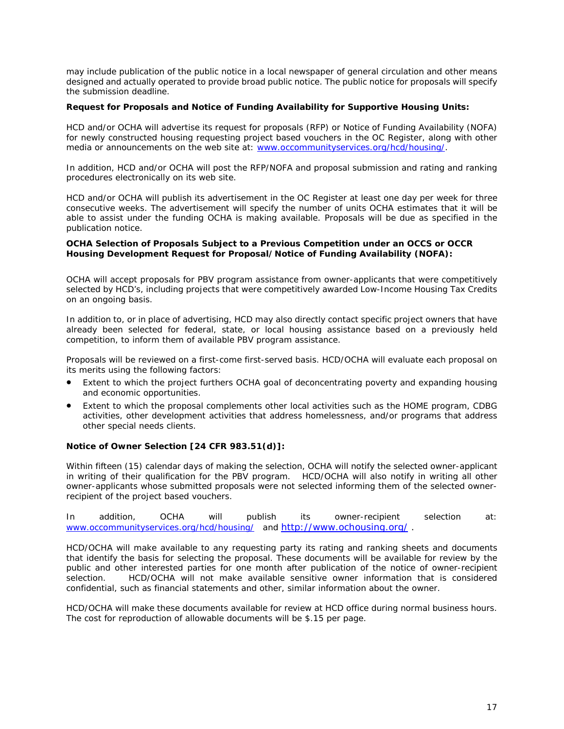may include publication of the public notice in a local newspaper of general circulation and other means designed and actually operated to provide broad public notice. The public notice for proposals will specify the submission deadline.

## *Request for Proposals and Notice of Funding Availability for Supportive Housing Units:*

HCD and/or OCHA will advertise its request for proposals (RFP) or Notice of Funding Availability (NOFA) for newly constructed housing requesting project based vouchers in the OC Register, along with other media or announcements on the web site at: [www.occommunityservices.org/hcd/housing/.](http://www.occommunityservices.org/hcd/housing/)

In addition, HCD and/or OCHA will post the RFP/NOFA and proposal submission and rating and ranking procedures electronically on its web site.

HCD and/or OCHA will publish its advertisement in the OC Register at least one day per week for three consecutive weeks. The advertisement will specify the number of units OCHA estimates that it will be able to assist under the funding OCHA is making available. Proposals will be due as specified in the publication notice.

#### *OCHA Selection of Proposals Subject to a Previous Competition under an OCCS or OCCR Housing Development Request for Proposal/Notice of Funding Availability (NOFA):*

OCHA will accept proposals for PBV program assistance from owner-applicants that were competitively selected by HCD's, including projects that were competitively awarded Low-Income Housing Tax Credits on an ongoing basis.

In addition to, or in place of advertising, HCD may also directly contact specific project owners that have already been selected for federal, state, or local housing assistance based on a previously held competition, to inform them of available PBV program assistance.

Proposals will be reviewed on a first-come first-served basis. HCD/OCHA will evaluate each proposal on its merits using the following factors:

- Extent to which the project furthers OCHA goal of deconcentrating poverty and expanding housing and economic opportunities.
- Extent to which the proposal complements other local activities such as the HOME program, CDBG activities, other development activities that address homelessness, and/or programs that address other special needs clients.

# **Notice of Owner Selection [24 CFR 983.51(d)]:**

Within fifteen (15) calendar days of making the selection, OCHA will notify the selected owner-applicant in writing of their qualification for the PBV program. HCD/OCHA will also notify in writing all other owner-applicants whose submitted proposals were not selected informing them of the selected ownerrecipient of the project based vouchers.

In addition, OCHA will publish its owner-recipient selection at: [www.occommunityservices.org/hcd/housing/](http://www.occommunityservices.org/hcd/housing/) and<http://www.ochousing.org/> .

HCD/OCHA will make available to any requesting party its rating and ranking sheets and documents that identify the basis for selecting the proposal. These documents will be available for review by the public and other interested parties for one month after publication of the notice of owner-recipient selection. HCD/OCHA will not make available sensitive owner information that is considered confidential, such as financial statements and other, similar information about the owner.

HCD/OCHA will make these documents available for review at HCD office during normal business hours. The cost for reproduction of allowable documents will be \$.15 per page.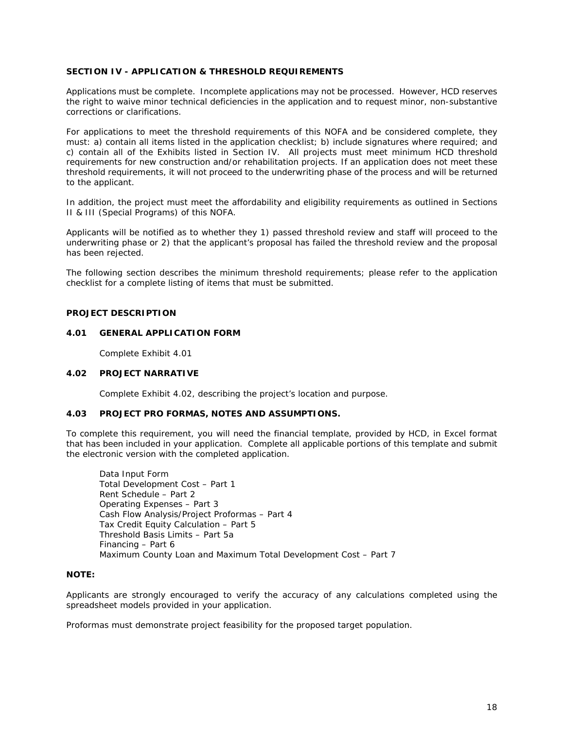#### **SECTION IV - APPLICATION & THRESHOLD REQUIREMENTS**

Applications must be complete. Incomplete applications may not be processed. However, HCD reserves the right to waive minor technical deficiencies in the application and to request minor, non-substantive corrections or clarifications.

For applications to meet the threshold requirements of this NOFA and be considered complete, they must: a) contain all items listed in the application checklist; b) include signatures where required; and c) contain all of the Exhibits listed in Section IV. All projects must meet minimum HCD threshold requirements for new construction and/or rehabilitation projects. If an application does not meet these threshold requirements, it will not proceed to the underwriting phase of the process and will be returned to the applicant.

In addition, the project must meet the affordability and eligibility requirements as outlined in Sections II & III (Special Programs) of this NOFA.

Applicants will be notified as to whether they 1) passed threshold review and staff will proceed to the underwriting phase or 2) that the applicant's proposal has failed the threshold review and the proposal has been rejected.

The following section describes the minimum threshold requirements; please refer to the application checklist for a complete listing of items that must be submitted.

#### **PROJECT DESCRIPTION**

## **4.01 GENERAL APPLICATION FORM**

Complete Exhibit 4.01

#### **4.02 PROJECT NARRATIVE**

Complete Exhibit 4.02, describing the project's location and purpose.

#### **4.03 PROJECT PRO FORMAS, NOTES AND ASSUMPTIONS.**

To complete this requirement, you will need the financial template, provided by HCD, in Excel format that has been included in your application. Complete all applicable portions of this template and submit the electronic version with the completed application.

Data Input Form Total Development Cost – Part 1 Rent Schedule – Part 2 Operating Expenses – Part 3 Cash Flow Analysis/Project Proformas – Part 4 Tax Credit Equity Calculation – Part 5 Threshold Basis Limits – Part 5a Financing – Part 6 Maximum County Loan and Maximum Total Development Cost – Part 7

#### **NOTE:**

Applicants are strongly encouraged to verify the accuracy of any calculations completed using the spreadsheet models provided in your application.

Proformas must demonstrate project feasibility for the proposed target population.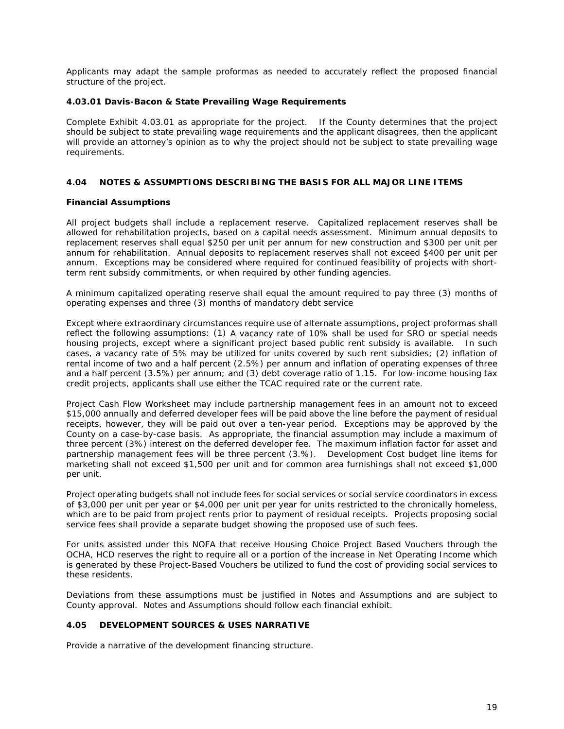Applicants may adapt the sample proformas as needed to accurately reflect the proposed financial structure of the project.

#### **4.03.01 Davis-Bacon & State Prevailing Wage Requirements**

Complete Exhibit 4.03.01 as appropriate for the project. If the County determines that the project should be subject to state prevailing wage requirements and the applicant disagrees, then the applicant will provide an attorney's opinion as to why the project should not be subject to state prevailing wage requirements.

#### **4.04 NOTES & ASSUMPTIONS DESCRIBING THE BASIS FOR ALL MAJOR LINE ITEMS**

#### **Financial Assumptions**

All project budgets shall include a replacement reserve. Capitalized replacement reserves shall be allowed for rehabilitation projects, based on a capital needs assessment. Minimum annual deposits to replacement reserves shall equal \$250 per unit per annum for new construction and \$300 per unit per annum for rehabilitation. Annual deposits to replacement reserves shall not exceed \$400 per unit per annum. Exceptions may be considered where required for continued feasibility of projects with shortterm rent subsidy commitments, or when required by other funding agencies.

A minimum capitalized operating reserve shall equal the amount required to pay three (3) months of operating expenses and three (3) months of mandatory debt service

Except where extraordinary circumstances require use of alternate assumptions, project proformas shall reflect the following assumptions: (1) A vacancy rate of 10% shall be used for SRO or special needs housing projects, except where a significant project based public rent subsidy is available. In such cases, a vacancy rate of 5% may be utilized for units covered by such rent subsidies; (2) inflation of rental income of two and a half percent (2.5%) per annum and inflation of operating expenses of three and a half percent (3.5%) per annum; and (3) debt coverage ratio of 1.15. For low-income housing tax credit projects, applicants shall use either the TCAC required rate or the current rate.

Project Cash Flow Worksheet may include partnership management fees in an amount not to exceed \$15,000 annually and deferred developer fees will be paid above the line before the payment of residual receipts, however, they will be paid out over a ten-year period. Exceptions may be approved by the County on a case-by-case basis. As appropriate, the financial assumption may include a maximum of three percent (3%) interest on the deferred developer fee. The maximum inflation factor for asset and partnership management fees will be three percent (3.%). Development Cost budget line items for marketing shall not exceed \$1,500 per unit and for common area furnishings shall not exceed \$1,000 per unit.

Project operating budgets shall not include fees for social services or social service coordinators in excess of \$3,000 per unit per year or \$4,000 per unit per year for units restricted to the chronically homeless, which are to be paid from project rents prior to payment of residual receipts. Projects proposing social service fees shall provide a separate budget showing the proposed use of such fees.

For units assisted under this NOFA that receive Housing Choice Project Based Vouchers through the OCHA, HCD reserves the right to require all or a portion of the increase in Net Operating Income which is generated by these Project-Based Vouchers be utilized to fund the cost of providing social services to these residents.

Deviations from these assumptions must be justified in Notes and Assumptions and are subject to County approval. Notes and Assumptions should follow each financial exhibit.

# **4.05 DEVELOPMENT SOURCES & USES NARRATIVE**

Provide a narrative of the development financing structure.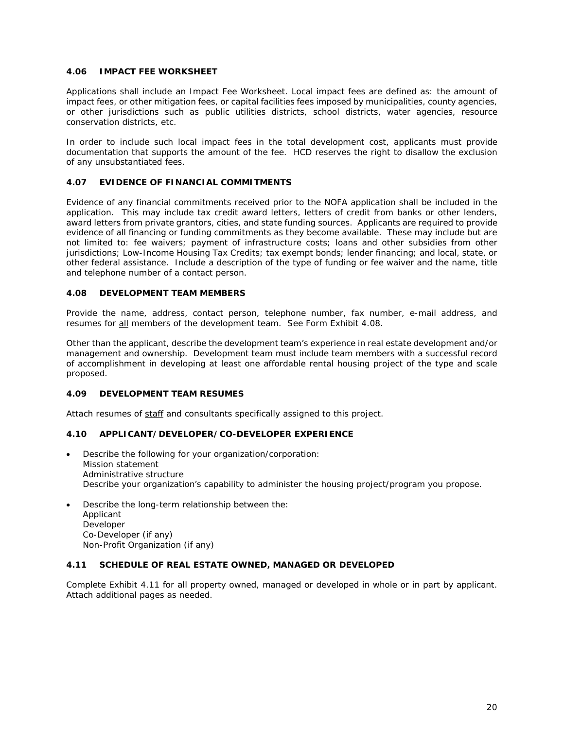## **4.06 IMPACT FEE WORKSHEET**

Applications shall include an Impact Fee Worksheet. Local impact fees are defined as: the amount of impact fees, or other mitigation fees, or capital facilities fees imposed by municipalities, county agencies, or other jurisdictions such as public utilities districts, school districts, water agencies, resource conservation districts, etc.

In order to include such local impact fees in the total development cost, applicants must provide documentation that supports the amount of the fee. HCD reserves the right to disallow the exclusion of any unsubstantiated fees.

## **4.07 EVIDENCE OF FINANCIAL COMMITMENTS**

Evidence of any financial commitments received prior to the NOFA application shall be included in the application. This may include tax credit award letters, letters of credit from banks or other lenders, award letters from private grantors, cities, and state funding sources. Applicants are required to provide evidence of all financing or funding commitments as they become available. These may include but are not limited to: fee waivers; payment of infrastructure costs; loans and other subsidies from other jurisdictions; Low-Income Housing Tax Credits; tax exempt bonds; lender financing; and local, state, or other federal assistance. Include a description of the type of funding or fee waiver and the name, title and telephone number of a contact person.

#### **4.08 DEVELOPMENT TEAM MEMBERS**

Provide the name, address, contact person, telephone number, fax number, e-mail address, and resumes for all members of the development team. See Form Exhibit 4.08.

Other than the applicant, describe the development team's experience in real estate development and/or management and ownership. Development team must include team members with a successful record of accomplishment in developing at least one affordable rental housing project of the type and scale proposed.

# **4.09 DEVELOPMENT TEAM RESUMES**

Attach resumes of staff and consultants specifically assigned to this project.

# **4.10 APPLICANT/DEVELOPER/CO-DEVELOPER EXPERIENCE**

- Describe the following for your organization/corporation: Mission statement Administrative structure Describe your organization's capability to administer the housing project/program you propose.
- Describe the long-term relationship between the: Applicant Developer Co-Developer (if any) Non-Profit Organization (if any)

#### **4.11 SCHEDULE OF REAL ESTATE OWNED, MANAGED OR DEVELOPED**

Complete Exhibit 4.11 for all property owned, managed or developed in whole or in part by applicant. Attach additional pages as needed.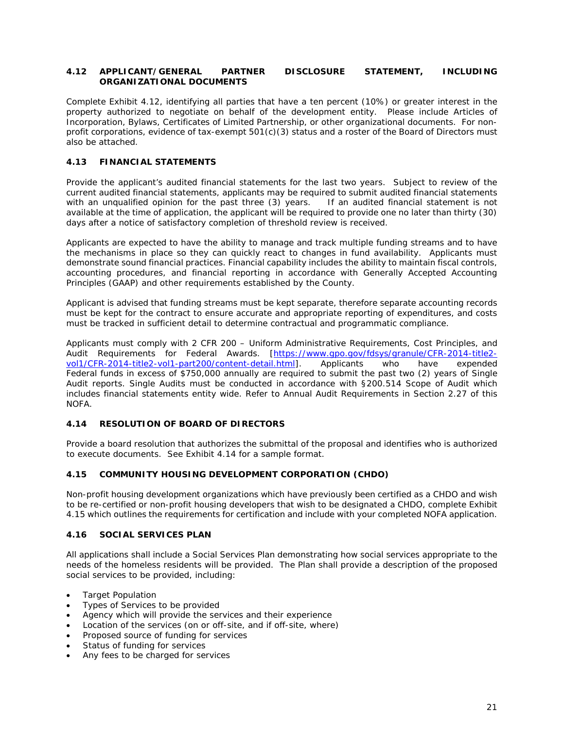#### **4.12 APPLICANT/GENERAL PARTNER DISCLOSURE STATEMENT, INCLUDING ORGANIZATIONAL DOCUMENTS**

Complete Exhibit 4.12, identifying all parties that have a ten percent (10%) or greater interest in the property authorized to negotiate on behalf of the development entity. Please include Articles of Incorporation, Bylaws, Certificates of Limited Partnership, or other organizational documents. For nonprofit corporations, evidence of tax-exempt 501(c)(3) status and a roster of the Board of Directors must also be attached.

# **4.13 FINANCIAL STATEMENTS**

Provide the applicant's audited financial statements for the last two years. Subject to review of the current audited financial statements, applicants may be required to submit audited financial statements with an unqualified opinion for the past three (3) years. *If an audited financial statement is not available at the time of application, the applicant will be required to provide one no later than thirty (30) days after a notice of satisfactory completion of threshold review is received.*

Applicants are expected to have the ability to manage and track multiple funding streams and to have the mechanisms in place so they can quickly react to changes in fund availability. Applicants must demonstrate sound financial practices. Financial capability includes the ability to maintain fiscal controls, accounting procedures, and financial reporting in accordance with Generally Accepted Accounting Principles (GAAP) and other requirements established by the County.

Applicant is advised that funding streams must be kept separate, therefore separate accounting records must be kept for the contract to ensure accurate and appropriate reporting of expenditures, and costs must be tracked in sufficient detail to determine contractual and programmatic compliance.

Applicants must comply with 2 CFR 200 – Uniform Administrative Requirements, Cost Principles, and Audit Requirements for Federal Awards. [\[https://www.gpo.gov/fdsys/granule/CFR-2014-title2-](https://www.gpo.gov/fdsys/granule/CFR-2014-title2-vol1/CFR-2014-title2-vol1-part200/content-detail.html)<br>vol1/CFR-2014-title2-vol1-part200/content-detail.html]. Applicants who have expended [vol1/CFR-2014-title2-vol1-part200/content-detail.html\]](https://www.gpo.gov/fdsys/granule/CFR-2014-title2-vol1/CFR-2014-title2-vol1-part200/content-detail.html). Federal funds in excess of \$750,000 annually are required to submit the past two (2) years of Single Audit reports. Single Audits must be conducted in accordance with §200.514 Scope of Audit which includes financial statements entity wide. Refer to Annual Audit Requirements in Section 2.27 of this NOFA.

# **4.14 RESOLUTION OF BOARD OF DIRECTORS**

Provide a board resolution that authorizes the submittal of the proposal and identifies who is authorized to execute documents. See Exhibit 4.14 for a sample format.

# **4.15 COMMUNITY HOUSING DEVELOPMENT CORPORATION (CHDO)**

Non-profit housing development organizations which have previously been certified as a CHDO and wish to be re-certified or non-profit housing developers that wish to be designated a CHDO, complete Exhibit 4.15 which outlines the requirements for certification and include with your completed NOFA application.

#### **4.16 SOCIAL SERVICES PLAN**

All applications shall include a Social Services Plan demonstrating how social services appropriate to the needs of the homeless residents will be provided. The Plan shall provide a description of the proposed social services to be provided, including:

- Target Population
- Types of Services to be provided
- Agency which will provide the services and their experience
- Location of the services (on or off-site, and if off-site, where)
- Proposed source of funding for services
- Status of funding for services
- Any fees to be charged for services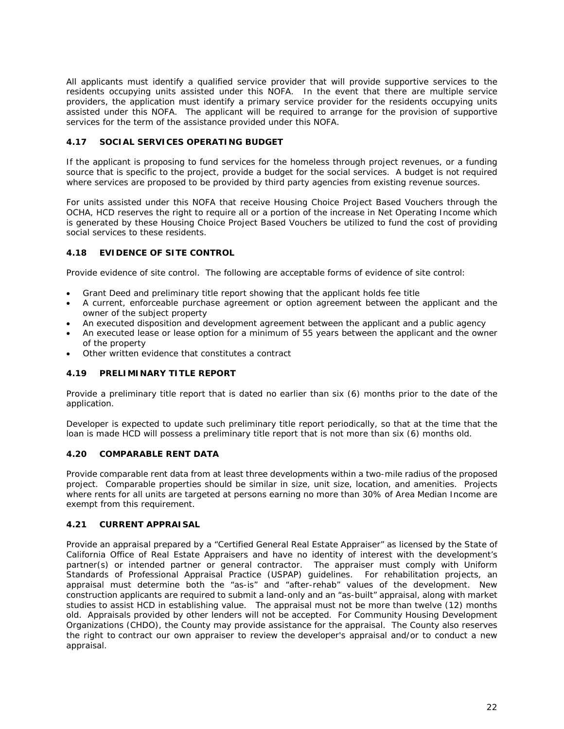All applicants must identify a qualified service provider that will provide supportive services to the residents occupying units assisted under this NOFA. In the event that there are multiple service providers, the application must identify a primary service provider for the residents occupying units assisted under this NOFA. The applicant will be required to arrange for the provision of supportive services for the term of the assistance provided under this NOFA.

# **4.17 SOCIAL SERVICES OPERATING BUDGET**

If the applicant is proposing to fund services for the homeless through project revenues, or a funding source that is specific to the project, provide a budget for the social services. A budget is not required where services are proposed to be provided by third party agencies from existing revenue sources.

For units assisted under this NOFA that receive Housing Choice Project Based Vouchers through the OCHA, HCD reserves the right to require all or a portion of the increase in Net Operating Income which is generated by these Housing Choice Project Based Vouchers be utilized to fund the cost of providing social services to these residents.

# **4.18 EVIDENCE OF SITE CONTROL**

Provide evidence of site control. The following are acceptable forms of evidence of site control:

- Grant Deed and preliminary title report showing that the applicant holds fee title
- A current, enforceable purchase agreement or option agreement between the applicant and the owner of the subject property
- An executed disposition and development agreement between the applicant and a public agency
- An executed lease or lease option for a minimum of 55 years between the applicant and the owner of the property
- Other written evidence that constitutes a contract

# **4.19 PRELIMINARY TITLE REPORT**

Provide a preliminary title report that is dated no earlier than six (6) months prior to the date of the application.

Developer is expected to update such preliminary title report periodically, so that at the time that the loan is made HCD will possess a preliminary title report that is not more than six (6) months old.

#### **4.20 COMPARABLE RENT DATA**

Provide comparable rent data from at least three developments within a two-mile radius of the proposed project. Comparable properties should be similar in size, unit size, location, and amenities. Projects where rents for all units are targeted at persons earning no more than 30% of Area Median Income are exempt from this requirement.

# **4.21 CURRENT APPRAISAL**

Provide an appraisal prepared by a "Certified General Real Estate Appraiser" as licensed by the State of California *Office of Real Estate Appraisers* and have no identity of interest with the development's partner(s) or intended partner or general contractor.The appraiser must comply with Uniform Standards of Professional Appraisal Practice (USPAP) guidelines. For rehabilitation projects, an appraisal must determine both the "as-is" and "after-rehab" values of the development. New construction applicants are required to submit a land-only and an "as-built" appraisal, along with market studies to assist HCD in establishing value. The appraisal must not be more than twelve (12) months old. Appraisals provided by other lenders will not be accepted. For Community Housing Development Organizations (CHDO), the County may provide assistance for the appraisal. The County also reserves the right to contract our own appraiser to review the developer's appraisal and/or to conduct a new appraisal.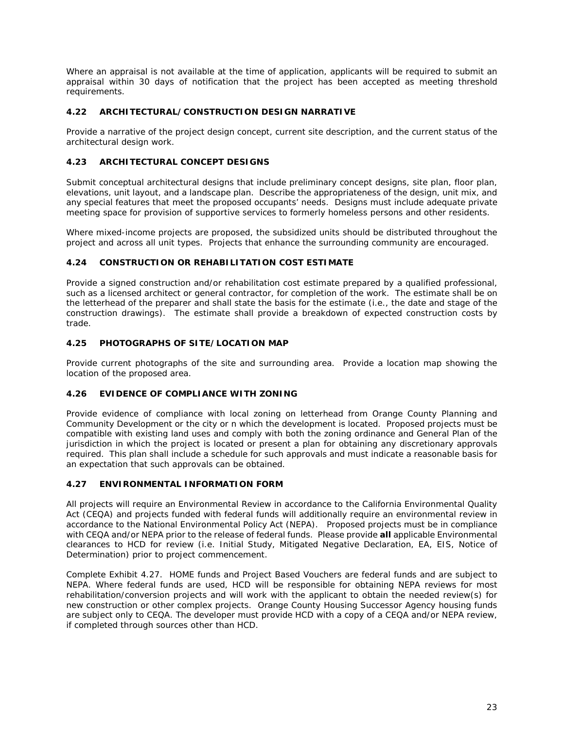*Where an appraisal is not available at the time of application, applicants will be required to submit an appraisal within 30 days of notification that the project has been accepted as meeting threshold requirements.* 

# **4.22 ARCHITECTURAL/CONSTRUCTION DESIGN NARRATIVE**

Provide a narrative of the project design concept, current site description, and the current status of the architectural design work.

# **4.23 ARCHITECTURAL CONCEPT DESIGNS**

Submit conceptual architectural designs that include preliminary concept designs, site plan, floor plan, elevations, unit layout, and a landscape plan. Describe the appropriateness of the design, unit mix, and any special features that meet the proposed occupants' needs. Designs must include adequate private meeting space for provision of supportive services to formerly homeless persons and other residents.

Where mixed-income projects are proposed, the subsidized units should be distributed throughout the project and across all unit types. Projects that enhance the surrounding community are encouraged.

# **4.24 CONSTRUCTION OR REHABILITATION COST ESTIMATE**

Provide a signed construction and/or rehabilitation cost estimate prepared by a qualified professional, such as a licensed architect or general contractor, for completion of the work. The estimate shall be on the letterhead of the preparer and shall state the basis for the estimate (i.e., the date and stage of the construction drawings). The estimate shall provide a breakdown of expected construction costs by trade.

#### **4.25 PHOTOGRAPHS OF SITE/LOCATION MAP**

Provide current photographs of the site and surrounding area. Provide a location map showing the location of the proposed area.

# **4.26 EVIDENCE OF COMPLIANCE WITH ZONING**

Provide evidence of compliance with local zoning on letterhead from Orange County Planning and Community Development or the city or n which the development is located. Proposed projects must be compatible with existing land uses and comply with both the zoning ordinance and General Plan of the jurisdiction in which the project is located or present a plan for obtaining any discretionary approvals required. This plan shall include a schedule for such approvals and must indicate a reasonable basis for an expectation that such approvals can be obtained.

# **4.27 ENVIRONMENTAL INFORMATION FORM**

All projects will require an Environmental Review in accordance to the California Environmental Quality Act (CEQA) and projects funded with federal funds will additionally require an environmental review in accordance to the National Environmental Policy Act (NEPA). Proposed projects must be in compliance with CEQA and/or NEPA prior to the release of federal funds. Please provide **all** applicable Environmental clearances to HCD for review (i.e. Initial Study, Mitigated Negative Declaration, EA, EIS, Notice of Determination) prior to project commencement.

Complete Exhibit 4.27. HOME funds and Project Based Vouchers are federal funds and are subject to NEPA. Where federal funds are used, HCD will be responsible for obtaining NEPA reviews for most rehabilitation/conversion projects and will work with the applicant to obtain the needed review(s) for new construction or other complex projects. Orange County Housing Successor Agency housing funds are subject only to CEQA. The developer must provide HCD with a copy of a CEQA and/or NEPA review, if completed through sources other than HCD.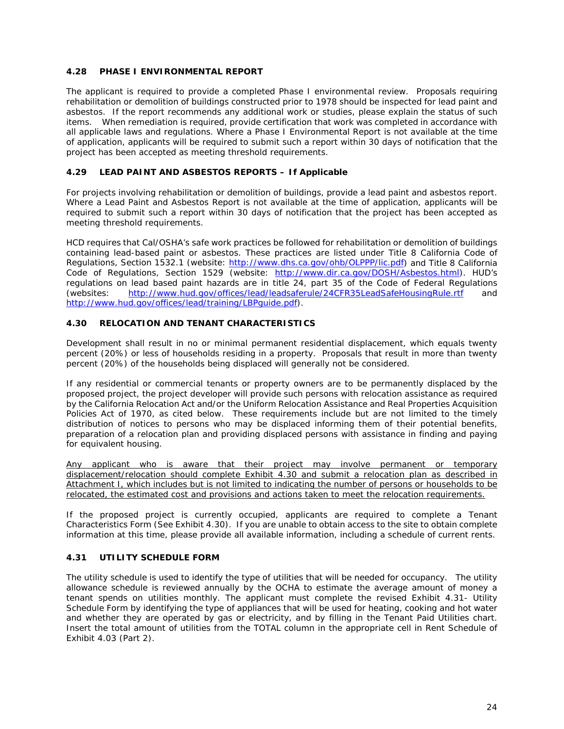# **4.28 PHASE I ENVIRONMENTAL REPORT**

The applicant is required to provide a completed Phase I environmental review. Proposals requiring rehabilitation or demolition of buildings constructed prior to 1978 should be inspected for lead paint and asbestos. If the report recommends any additional work or studies, please explain the status of such items. When remediation is required, provide certification that work was completed in accordance with all applicable laws and regulations. *Where a Phase I Environmental Report is not available at the time of application, applicants will be required to submit such a report within 30 days of notification that the project has been accepted as meeting threshold requirements.*

# **4.29 LEAD PAINT AND ASBESTOS REPORTS – If Applicable**

For projects involving rehabilitation or demolition of buildings, provide a lead paint and asbestos report. *Where a Lead Paint and Asbestos Report is not available at the time of application, applicants will be required to submit such a report within 30 days of notification that the project has been accepted as meeting threshold requirements*.

HCD requires that Cal/OSHA's safe work practices be followed for rehabilitation or demolition of buildings containing lead-based paint or asbestos. These practices are listed under Title 8 California Code of Regulations, Section 1532.1 (website: [http://www.dhs.ca.gov/ohb/OLPPP/lic.pdf\)](http://www.dhs.ca.gov/ohb/OLPPP/lic.pdf) and Title 8 California Code of Regulations, Section 1529 (website: [http://www.dir.ca.gov/DOSH/Asbestos.html\)](http://www.dir.ca.gov/DOSH/Asbestos.html). HUD's regulations on lead based paint hazards are in title 24, part 35 of the Code of Federal Regulations (websites: <http://www.hud.gov/offices/lead/leadsaferule/24CFR35LeadSafeHousingRule.rtf> and [http://www.hud.gov/offices/lead/training/LBPguide.pdf\)](http://www.hud.gov/offices/lead/training/LBPguide.pdf).

# **4.30 RELOCATION AND TENANT CHARACTERISTICS**

Development shall result in no or minimal permanent residential displacement, which equals twenty percent (20%) or less of households residing in a property. Proposals that result in more than twenty percent (20%) of the households being displaced will generally not be considered.

If any residential or commercial tenants or property owners are to be permanently displaced by the proposed project, the project developer will provide such persons with relocation assistance as required by the California Relocation Act and/or the Uniform Relocation Assistance and Real Properties Acquisition Policies Act of 1970, as cited below. These requirements include but are not limited to the timely distribution of notices to persons who may be displaced informing them of their potential benefits, preparation of a relocation plan and providing displaced persons with assistance in finding and paying for equivalent housing.

Any applicant who is aware that their project may involve permanent or temporary displacement/relocation should complete Exhibit 4.30 and submit a relocation plan as described in Attachment I, which includes but is not limited to indicating the number of persons or households to be relocated, the estimated cost and provisions and actions taken to meet the relocation requirements.

If the proposed project is currently occupied, applicants are required to complete a Tenant Characteristics Form (See Exhibit 4.30). If you are unable to obtain access to the site to obtain complete information at this time, please provide all available information, including a schedule of current rents.

# **4.31 UTILITY SCHEDULE FORM**

The utility schedule is used to identify the type of utilities that will be needed for occupancy. The utility allowance schedule is reviewed annually by the OCHA to estimate the average amount of money a tenant spends on utilities monthly. The applicant must complete the revised Exhibit 4.31- Utility Schedule Form by identifying the type of appliances that will be used for heating, cooking and hot water and whether they are operated by gas or electricity, and by filling in the Tenant Paid Utilities chart. Insert the total amount of utilities from the TOTAL column in the appropriate cell in Rent Schedule of Exhibit 4.03 (Part 2).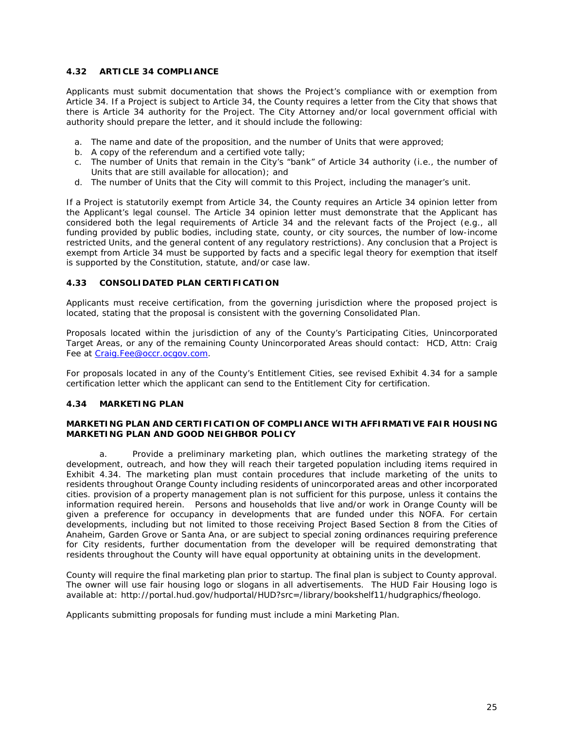# **4.32 ARTICLE 34 COMPLIANCE**

Applicants must submit documentation that shows the Project's compliance with or exemption from Article 34. If a Project is subject to Article 34, the County requires a letter from the City that shows that there is Article 34 authority for the Project. The City Attorney and/or local government official with authority should prepare the letter, and it should include the following:

- a. The name and date of the proposition, and the number of Units that were approved;
- b. A copy of the referendum and a certified vote tally;
- c. The number of Units that remain in the City's "bank" of Article 34 authority (i.e., the number of Units that are still available for allocation); and
- d. The number of Units that the City will commit to this Project, including the manager's unit.

If a Project is statutorily exempt from Article 34, the County requires an Article 34 opinion letter from the Applicant's legal counsel. The Article 34 opinion letter must demonstrate that the Applicant has considered both the legal requirements of Article 34 and the relevant facts of the Project (e.g., all funding provided by public bodies, including state, county, or city sources, the number of low-income restricted Units, and the general content of any regulatory restrictions). Any conclusion that a Project is exempt from Article 34 must be supported by facts and a specific legal theory for exemption that itself is supported by the Constitution, statute, and/or case law.

## **4.33 CONSOLIDATED PLAN CERTIFICATION**

Applicants must receive certification, from the governing jurisdiction where the proposed project is located, stating that the proposal is consistent with the governing *Consolidated Plan*.

Proposals located within the jurisdiction of any of the County's Participating Cities, Unincorporated Target Areas, or any of the remaining County Unincorporated Areas should contact: HCD, Attn: Craig Fee at [Craig.Fee@occr.ocgov.com.](mailto:Craig.Fee@occr.ocgov.com)

For proposals located in any of the County's Entitlement Cities, see revised Exhibit 4.34 for a sample certification letter which the applicant can send to the Entitlement City for certification.

# **4.34 MARKETING PLAN**

#### **MARKETING PLAN AND CERTIFICATION OF COMPLIANCE WITH AFFIRMATIVE FAIR HOUSING MARKETING PLAN AND GOOD NEIGHBOR POLICY**

a. Provide a preliminary marketing plan, which outlines the marketing strategy of the development, outreach, and how they will reach their targeted population including items required in Exhibit 4.34. The marketing plan must contain procedures that include marketing of the units to residents throughout Orange County including residents of unincorporated areas and other incorporated cities. p*rovision of a property management plan is not sufficient for this purpose, unless it contains the information required herein.* Persons and households that live and/or work in Orange County will be given a preference for occupancy in developments that are funded under this NOFA. For certain developments, including but not limited to those receiving Project Based Section 8 from the Cities of Anaheim, Garden Grove or Santa Ana, or are subject to special zoning ordinances requiring preference for City residents, further documentation from the developer will be required demonstrating that residents throughout the County will have equal opportunity at obtaining units in the development.

County will require the final marketing plan prior to startup. The final plan is subject to County approval. The owner will use fair housing logo or slogans in all advertisements. The HUD Fair Housing logo is available at: http://portal.hud.gov/hudportal/HUD?src=/library/bookshelf11/hudgraphics/fheologo.

Applicants submitting proposals for funding must include a mini Marketing Plan.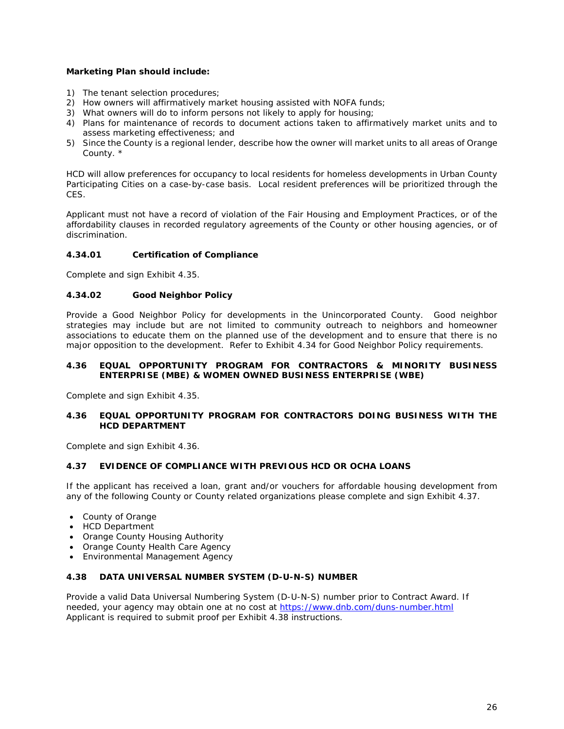# **Marketing Plan should include:**

- 1) The tenant selection procedures;
- 2) How owners will affirmatively market housing assisted with NOFA funds;
- 3) What owners will do to inform persons not likely to apply for housing;
- 4) Plans for maintenance of records to document actions taken to affirmatively market units and to assess marketing effectiveness; and
- 5) Since the County is a regional lender, describe how the owner will market units to all areas of Orange County. \*

HCD will allow preferences for occupancy to local residents for homeless developments in Urban County Participating Cities on a case-by-case basis. Local resident preferences will be prioritized through the CES.

Applicant must not have a record of violation of the Fair Housing and Employment Practices, or of the affordability clauses in recorded regulatory agreements of the County or other housing agencies, or of discrimination.

# **4.34.01 Certification of Compliance**

Complete and sign Exhibit 4.35.

#### **4.34.02 Good Neighbor Policy**

Provide a Good Neighbor Policy for developments in the Unincorporated County. Good neighbor strategies may include but are not limited to community outreach to neighbors and homeowner associations to educate them on the planned use of the development and to ensure that there is no major opposition to the development. Refer to Exhibit 4.34 for Good Neighbor Policy requirements.

#### **4.36 EQUAL OPPORTUNITY PROGRAM FOR CONTRACTORS & MINORITY BUSINESS ENTERPRISE (MBE) & WOMEN OWNED BUSINESS ENTERPRISE (WBE)**

Complete and sign Exhibit 4.35.

#### **4.36 EQUAL OPPORTUNITY PROGRAM FOR CONTRACTORS DOING BUSINESS WITH THE HCD DEPARTMENT**

Complete and sign Exhibit 4.36.

# **4.37 EVIDENCE OF COMPLIANCE WITH PREVIOUS HCD OR OCHA LOANS**

If the applicant has received a loan, grant and/or vouchers for affordable housing development from any of the following County or County related organizations please complete and sign Exhibit 4.37.

- County of Orange
- HCD Department
- Orange County Housing Authority
- Orange County Health Care Agency
- Environmental Management Agency

### **4.38 DATA UNIVERSAL NUMBER SYSTEM (D-U-N-S) NUMBER**

Provide a valid Data Universal Numbering System (D-U-N-S) number prior to Contract Award. If needed, your agency may obtain one at no cost at<https://www.dnb.com/duns-number.html> Applicant is required to submit proof per Exhibit 4.38 instructions.